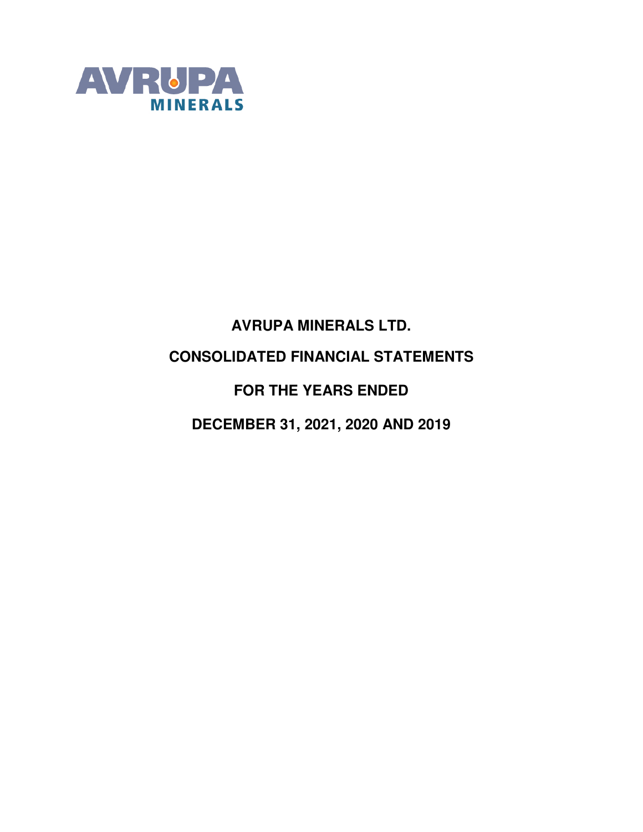

# **AVRUPA MINERALS LTD. CONSOLIDATED FINANCIAL STATEMENTS FOR THE YEARS ENDED DECEMBER 31, 2021, 2020 AND 2019**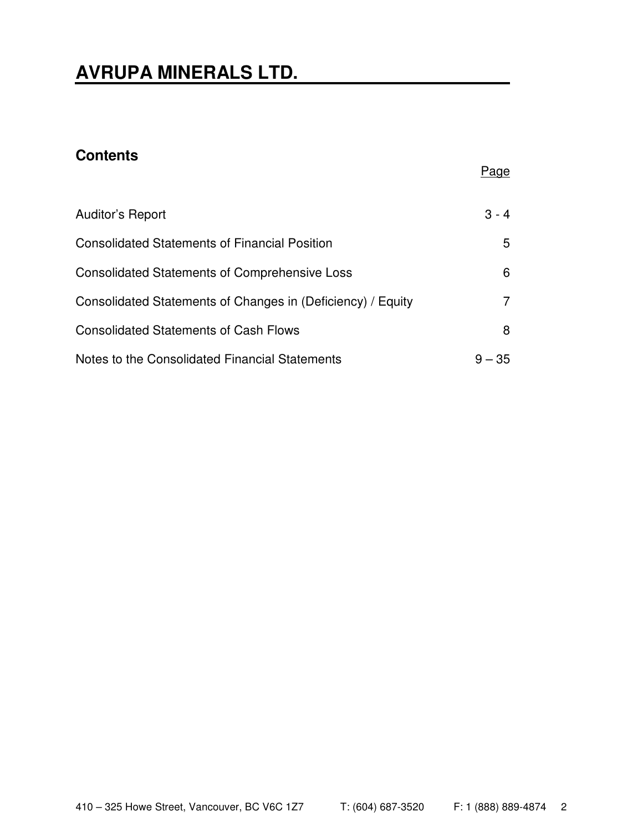## **AVRUPA MINERALS LTD.**

## **Contents**

|                                                             | Page     |
|-------------------------------------------------------------|----------|
| Auditor's Report                                            | $3 - 4$  |
| <b>Consolidated Statements of Financial Position</b>        | 5        |
| <b>Consolidated Statements of Comprehensive Loss</b>        | 6        |
| Consolidated Statements of Changes in (Deficiency) / Equity | 7        |
| <b>Consolidated Statements of Cash Flows</b>                | 8        |
| Notes to the Consolidated Financial Statements              | $9 - 35$ |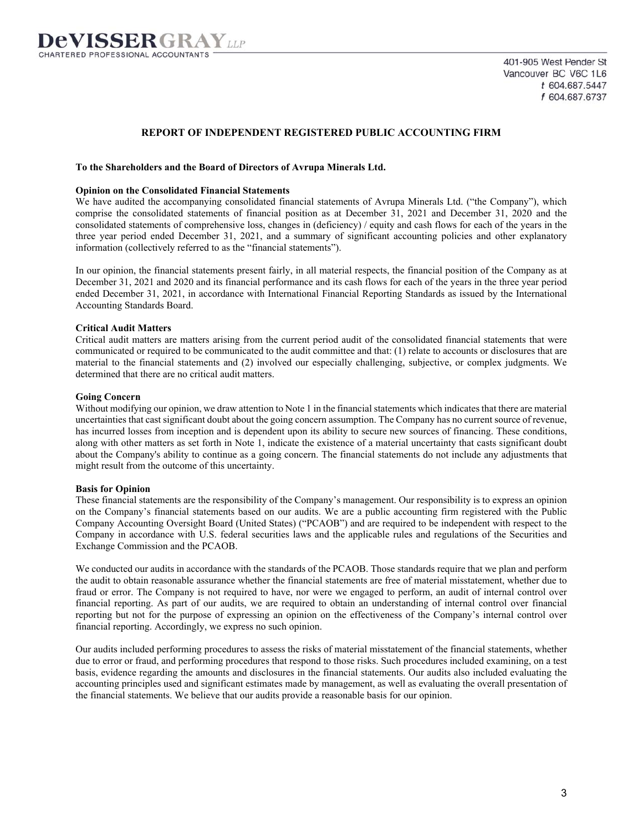#### **REPORT OF INDEPENDENT REGISTERED PUBLIC ACCOUNTING FIRM**

#### **To the Shareholders and the Board of Directors of Avrupa Minerals Ltd.**

#### **Opinion on the Consolidated Financial Statements**

We have audited the accompanying consolidated financial statements of Avrupa Minerals Ltd. ("the Company"), which comprise the consolidated statements of financial position as at December 31, 2021 and December 31, 2020 and the consolidated statements of comprehensive loss, changes in (deficiency) / equity and cash flows for each of the years in the three year period ended December 31, 2021, and a summary of significant accounting policies and other explanatory information (collectively referred to as the "financial statements").

In our opinion, the financial statements present fairly, in all material respects, the financial position of the Company as at December 31, 2021 and 2020 and its financial performance and its cash flows for each of the years in the three year period ended December 31, 2021, in accordance with International Financial Reporting Standards as issued by the International Accounting Standards Board.

#### **Critical Audit Matters**

Critical audit matters are matters arising from the current period audit of the consolidated financial statements that were communicated or required to be communicated to the audit committee and that: (1) relate to accounts or disclosures that are material to the financial statements and (2) involved our especially challenging, subjective, or complex judgments. We determined that there are no critical audit matters.

#### **Going Concern**

Without modifying our opinion, we draw attention to Note 1 in the financial statements which indicates that there are material uncertainties that cast significant doubt about the going concern assumption. The Company has no current source of revenue, has incurred losses from inception and is dependent upon its ability to secure new sources of financing. These conditions, along with other matters as set forth in Note 1, indicate the existence of a material uncertainty that casts significant doubt about the Company's ability to continue as a going concern. The financial statements do not include any adjustments that might result from the outcome of this uncertainty.

#### **Basis for Opinion**

These financial statements are the responsibility of the Company's management. Our responsibility is to express an opinion on the Company's financial statements based on our audits. We are a public accounting firm registered with the Public Company Accounting Oversight Board (United States) ("PCAOB") and are required to be independent with respect to the Company in accordance with U.S. federal securities laws and the applicable rules and regulations of the Securities and Exchange Commission and the PCAOB.

We conducted our audits in accordance with the standards of the PCAOB. Those standards require that we plan and perform the audit to obtain reasonable assurance whether the financial statements are free of material misstatement, whether due to fraud or error. The Company is not required to have, nor were we engaged to perform, an audit of internal control over financial reporting. As part of our audits, we are required to obtain an understanding of internal control over financial reporting but not for the purpose of expressing an opinion on the effectiveness of the Company's internal control over financial reporting. Accordingly, we express no such opinion.

Our audits included performing procedures to assess the risks of material misstatement of the financial statements, whether due to error or fraud, and performing procedures that respond to those risks. Such procedures included examining, on a test basis, evidence regarding the amounts and disclosures in the financial statements. Our audits also included evaluating the accounting principles used and significant estimates made by management, as well as evaluating the overall presentation of the financial statements. We believe that our audits provide a reasonable basis for our opinion.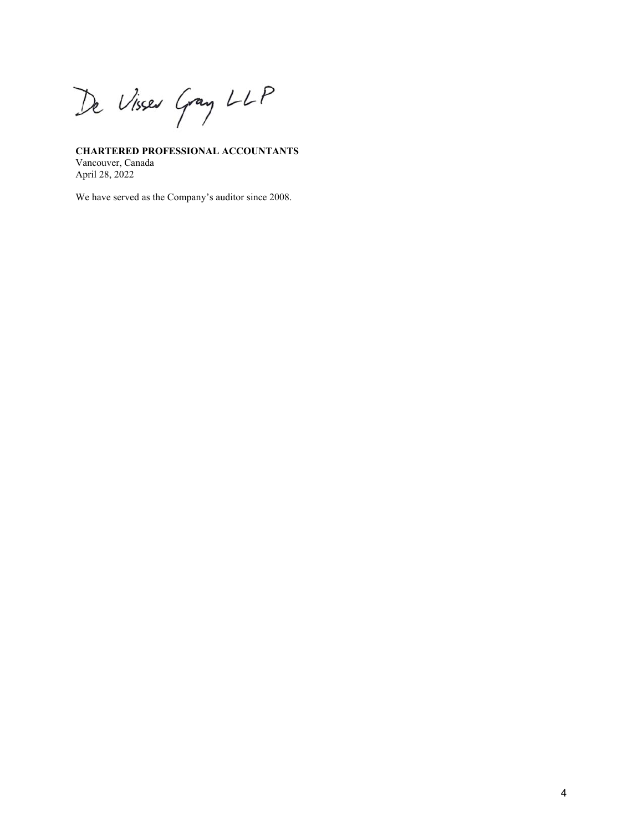De Visser Gray LLP

**CHARTERED PROFESSIONAL ACCOUNTANTS**  Vancouver, Canada

April 28, 2022

We have served as the Company's auditor since 2008.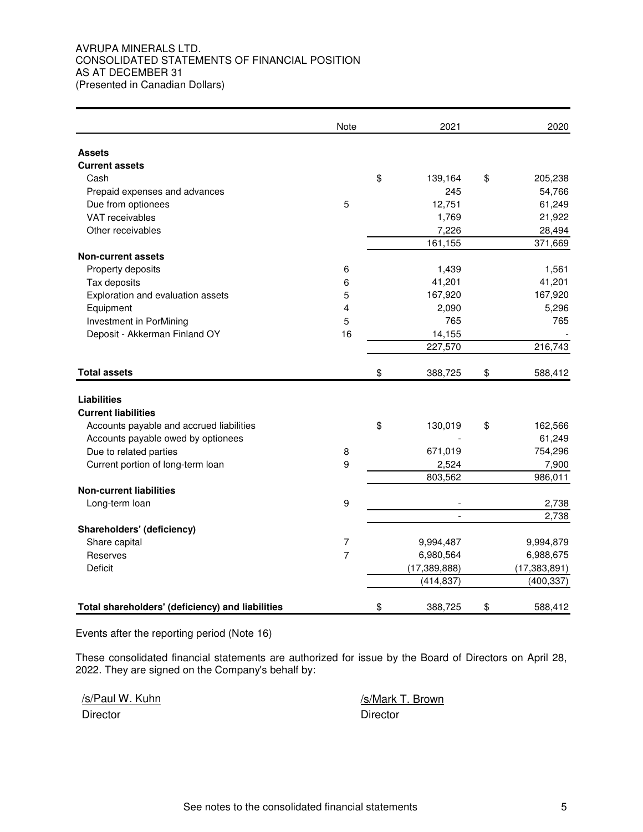#### AVRUPA MINERALS LTD. CONSOLIDATED STATEMENTS OF FINANCIAL POSITION AS AT DECEMBER 31 (Presented in Canadian Dollars)

|                                                  | Note           | 2021           | 2020           |
|--------------------------------------------------|----------------|----------------|----------------|
| <b>Assets</b>                                    |                |                |                |
| <b>Current assets</b>                            |                |                |                |
| Cash                                             |                | \$<br>139,164  | \$<br>205,238  |
| Prepaid expenses and advances                    |                | 245            | 54,766         |
| Due from optionees                               | 5              | 12,751         | 61,249         |
| VAT receivables                                  |                | 1,769          | 21,922         |
| Other receivables                                |                | 7,226          | 28,494         |
|                                                  |                | 161,155        | 371,669        |
| <b>Non-current assets</b>                        |                |                |                |
| Property deposits                                | 6              | 1,439          | 1,561          |
| Tax deposits                                     | 6              | 41,201         | 41,201         |
| Exploration and evaluation assets                | 5              | 167,920        | 167,920        |
| Equipment                                        | 4              | 2,090          | 5,296          |
| Investment in PorMining                          | 5              | 765            | 765            |
| Deposit - Akkerman Finland OY                    | 16             | 14,155         |                |
|                                                  |                | 227,570        | 216,743        |
|                                                  |                |                |                |
| <b>Total assets</b>                              |                | \$<br>388,725  | \$<br>588,412  |
| <b>Liabilities</b>                               |                |                |                |
| <b>Current liabilities</b>                       |                |                |                |
| Accounts payable and accrued liabilities         |                | \$<br>130,019  | \$<br>162,566  |
| Accounts payable owed by optionees               |                |                | 61,249         |
| Due to related parties                           | 8              | 671,019        | 754,296        |
| Current portion of long-term loan                | 9              | 2,524          | 7,900          |
|                                                  |                | 803,562        | 986,011        |
| <b>Non-current liabilities</b>                   |                |                |                |
| Long-term loan                                   | 9              |                | 2,738          |
|                                                  |                | $\overline{a}$ | 2,738          |
| Shareholders' (deficiency)                       |                |                |                |
| Share capital                                    | 7              | 9,994,487      | 9,994,879      |
| Reserves                                         | $\overline{7}$ | 6,980,564      | 6,988,675      |
| Deficit                                          |                | (17, 389, 888) | (17, 383, 891) |
|                                                  |                | (414, 837)     | (400, 337)     |
| Total shareholders' (deficiency) and liabilities |                | \$<br>388,725  | \$<br>588,412  |

Events after the reporting period (Note 16)

These consolidated financial statements are authorized for issue by the Board of Directors on April 28, 2022. They are signed on the Company's behalf by:

Director **Director** Director

/s/Paul W. Kuhn /s/Mark T. Brown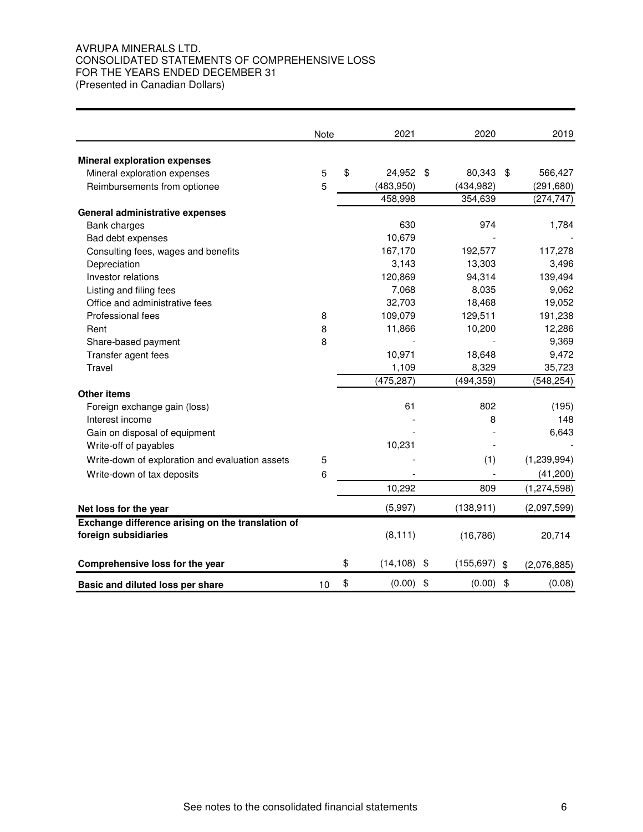#### AVRUPA MINERALS LTD. CONSOLIDATED STATEMENTS OF COMPREHENSIVE LOSS FOR THE YEARS ENDED DECEMBER 31 (Presented in Canadian Dollars)

|                                                   | Note | 2021            |               | 2020       | 2019              |
|---------------------------------------------------|------|-----------------|---------------|------------|-------------------|
| <b>Mineral exploration expenses</b>               |      |                 |               |            |                   |
| Mineral exploration expenses                      | 5    | \$<br>24,952    | \$            | 80,343     | \$<br>566,427     |
| Reimbursements from optionee                      | 5    | (483,950)       |               | (434, 982) | (291, 680)        |
|                                                   |      | 458,998         |               | 354,639    | (274, 747)        |
| General administrative expenses                   |      |                 |               |            |                   |
| Bank charges                                      |      | 630             |               | 974        | 1,784             |
| Bad debt expenses                                 |      | 10,679          |               |            |                   |
| Consulting fees, wages and benefits               |      | 167,170         |               | 192,577    | 117,278           |
| Depreciation                                      |      | 3,143           |               | 13,303     | 3,496             |
| Investor relations                                |      | 120,869         |               | 94,314     | 139,494           |
| Listing and filing fees                           |      | 7,068           |               | 8,035      | 9,062             |
| Office and administrative fees                    |      | 32,703          |               | 18,468     | 19,052            |
| Professional fees                                 | 8    | 109,079         |               | 129,511    | 191,238           |
| Rent                                              | 8    | 11,866          |               | 10,200     | 12,286            |
| Share-based payment                               | 8    |                 |               |            | 9,369             |
| Transfer agent fees                               |      | 10,971          |               | 18,648     | 9,472             |
| Travel                                            |      | 1,109           |               | 8,329      | 35,723            |
|                                                   |      | (475, 287)      |               | (494, 359) | (548, 254)        |
| <b>Other items</b>                                |      |                 |               |            |                   |
| Foreign exchange gain (loss)                      |      | 61              |               | 802        | (195)             |
| Interest income                                   |      |                 |               | 8          | 148               |
| Gain on disposal of equipment                     |      |                 |               |            | 6,643             |
| Write-off of payables                             |      | 10,231          |               |            |                   |
| Write-down of exploration and evaluation assets   | 5    |                 |               | (1)        | (1, 239, 994)     |
| Write-down of tax deposits                        | 6    |                 |               |            | (41, 200)         |
|                                                   |      | 10,292          |               | 809        | (1, 274, 598)     |
| Net loss for the year                             |      | (5,997)         |               | (138, 911) | (2,097,599)       |
| Exchange difference arising on the translation of |      |                 |               |            |                   |
| foreign subsidiaries                              |      | (8, 111)        |               | (16, 786)  | 20,714            |
| Comprehensive loss for the year                   |      | \$<br>(14, 108) | \$            | (155, 697) | \$<br>(2,076,885) |
| Basic and diluted loss per share                  | 10   | \$<br>(0.00)    | $\frac{1}{2}$ | (0.00)     | \$<br>(0.08)      |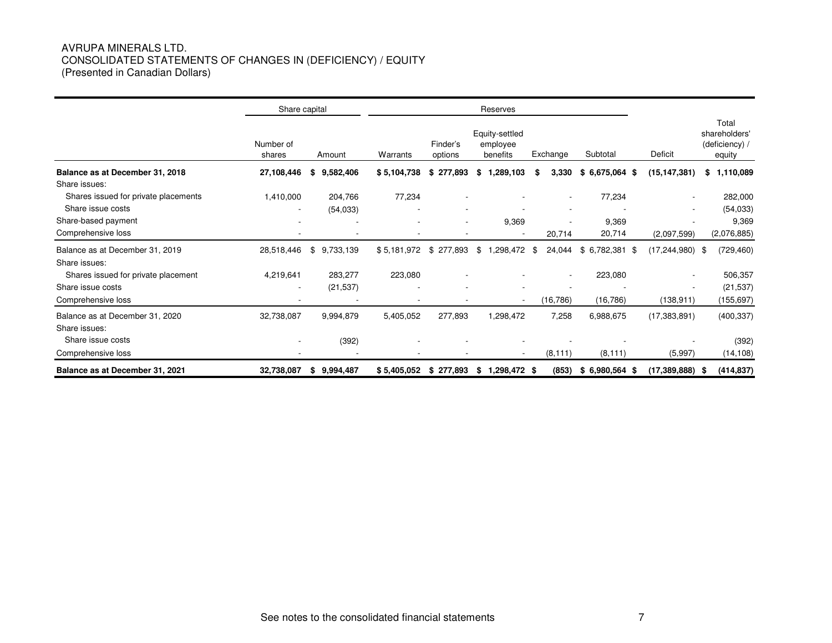## AVRUPA MINERALS LTD. CONSOLIDATED STATEMENTS OF CHANGES IN (DEFICIENCY) / EQUITY

(Presented in Canadian Dollars)

|                                      | Share capital       |    |           | Reserves    |                     |    |                                        |    |           |                    |                          |      |                                                    |
|--------------------------------------|---------------------|----|-----------|-------------|---------------------|----|----------------------------------------|----|-----------|--------------------|--------------------------|------|----------------------------------------------------|
|                                      | Number of<br>shares |    | Amount    | Warrants    | Finder's<br>options |    | Equity-settled<br>employee<br>benefits |    | Exchange  | Subtotal           | Deficit                  |      | Total<br>shareholders'<br>(deficiency) /<br>equity |
| Balance as at December 31, 2018      | 27,108,446          | S  | 9,582,406 | \$5,104,738 | \$277,893           | S  | 1,289,103                              | S  | 3,330     | 6,675,064 \$<br>S  | (15, 147, 381)           | S    | 1,110,089                                          |
| Share issues:                        |                     |    |           |             |                     |    |                                        |    |           |                    |                          |      |                                                    |
| Shares issued for private placements | 1,410,000           |    | 204,766   | 77,234      |                     |    |                                        |    |           | 77,234             |                          |      | 282,000                                            |
| Share issue costs                    |                     |    | (54,033)  |             |                     |    |                                        |    |           |                    |                          |      | (54,033)                                           |
| Share-based payment                  |                     |    |           |             |                     |    | 9,369                                  |    |           | 9,369              |                          |      | 9,369                                              |
| Comprehensive loss                   |                     |    |           |             |                     |    |                                        |    | 20,714    | 20,714             | (2,097,599)              |      | (2,076,885)                                        |
| Balance as at December 31, 2019      | 28,518,446          | \$ | 9,733,139 | \$5,181,972 | \$<br>277,893       | \$ | 1,298,472                              | \$ | 24,044    | $$6,782,381$ \$    | (17, 244, 980)           | - \$ | (729, 460)                                         |
| Share issues:                        |                     |    |           |             |                     |    |                                        |    |           |                    |                          |      |                                                    |
| Shares issued for private placement  | 4,219,641           |    | 283,277   | 223,080     |                     |    |                                        |    |           | 223,080            |                          |      | 506,357                                            |
| Share issue costs                    | ٠                   |    | (21, 537) |             |                     |    |                                        |    |           |                    | $\overline{\phantom{a}}$ |      | (21, 537)                                          |
| Comprehensive loss                   |                     |    |           |             |                     |    |                                        |    | (16, 786) | (16, 786)          | (138, 911)               |      | (155, 697)                                         |
| Balance as at December 31, 2020      | 32,738,087          |    | 9,994,879 | 5,405,052   | 277,893             |    | 1,298,472                              |    | 7,258     | 6,988,675          | (17, 383, 891)           |      | (400, 337)                                         |
| Share issues:                        |                     |    |           |             |                     |    |                                        |    |           |                    |                          |      |                                                    |
| Share issue costs                    |                     |    | (392)     |             |                     |    |                                        |    |           |                    |                          |      | (392)                                              |
| Comprehensive loss                   |                     |    |           |             |                     |    |                                        |    | (8, 111)  | (8, 111)           | (5,997)                  |      | (14, 108)                                          |
| Balance as at December 31, 2021      | 32,738,087          | S. | 9,994,487 | \$5,405,052 | \$277,893           | S. | 1,298,472 \$                           |    | (853)     | 6,980,564 \$<br>s. | (17, 389, 888)           | - 35 | (414, 837)                                         |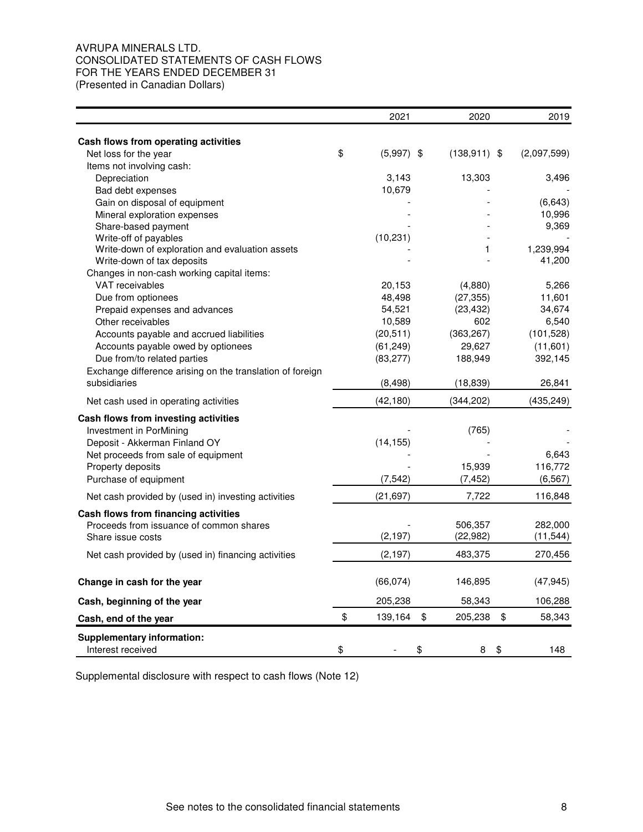#### AVRUPA MINERALS LTD. CONSOLIDATED STATEMENTS OF CASH FLOWS FOR THE YEARS ENDED DECEMBER 31 (Presented in Canadian Dollars)

| Cash flows from operating activities<br>\$<br>(2,097,599)<br>$(5,997)$ \$<br>$(138, 911)$ \$<br>Net loss for the year<br>Items not involving cash:<br>Depreciation<br>3,143<br>13,303<br>3,496<br>Bad debt expenses<br>10,679<br>Gain on disposal of equipment<br>(6, 643)<br>Mineral exploration expenses<br>10,996<br>9,369<br>Share-based payment<br>Write-off of payables<br>(10, 231)<br>Write-down of exploration and evaluation assets<br>1,239,994<br>1<br>Write-down of tax deposits<br>41,200<br>Changes in non-cash working capital items:<br>VAT receivables<br>20,153<br>(4,880)<br>5,266<br>48,498<br>Due from optionees<br>(27, 355)<br>11,601<br>54,521<br>34,674<br>Prepaid expenses and advances<br>(23, 432)<br>10,589<br>602<br>Other receivables<br>6,540<br>(20, 511)<br>(363, 267)<br>(101, 528)<br>Accounts payable and accrued liabilities<br>Accounts payable owed by optionees<br>(61, 249)<br>29,627<br>(11,601)<br>392,145<br>Due from/to related parties<br>(83, 277)<br>188,949<br>Exchange difference arising on the translation of foreign<br>subsidiaries<br>(18, 839)<br>26,841<br>(8, 498)<br>(42, 180)<br>(344, 202)<br>(435, 249)<br>Net cash used in operating activities<br>Cash flows from investing activities<br>Investment in PorMining<br>(765)<br>Deposit - Akkerman Finland OY<br>(14, 155)<br>Net proceeds from sale of equipment<br>6,643<br>15,939<br>Property deposits<br>116,772<br>Purchase of equipment<br>(7, 542)<br>(7, 452)<br>(6, 567)<br>(21, 697)<br>7,722<br>116,848<br>Net cash provided by (used in) investing activities<br>Cash flows from financing activities<br>506,357<br>282,000<br>Proceeds from issuance of common shares<br>(2, 197)<br>(22, 982)<br>(11, 544)<br>Share issue costs<br>(2, 197)<br>483,375<br>270,456<br>Net cash provided by (used in) financing activities<br>Change in cash for the year<br>(66, 074)<br>146,895<br>(47, 945)<br>205,238<br>58,343<br>106,288<br>Cash, beginning of the year<br>\$<br>58,343<br>139,164<br>\$<br>205,238<br>\$<br>Cash, end of the year<br><b>Supplementary information:</b><br>Interest received<br>\$<br>\$<br>\$<br>8<br>148 |  | 2021 | 2020 | 2019 |
|--------------------------------------------------------------------------------------------------------------------------------------------------------------------------------------------------------------------------------------------------------------------------------------------------------------------------------------------------------------------------------------------------------------------------------------------------------------------------------------------------------------------------------------------------------------------------------------------------------------------------------------------------------------------------------------------------------------------------------------------------------------------------------------------------------------------------------------------------------------------------------------------------------------------------------------------------------------------------------------------------------------------------------------------------------------------------------------------------------------------------------------------------------------------------------------------------------------------------------------------------------------------------------------------------------------------------------------------------------------------------------------------------------------------------------------------------------------------------------------------------------------------------------------------------------------------------------------------------------------------------------------------------------------------------------------------------------------------------------------------------------------------------------------------------------------------------------------------------------------------------------------------------------------------------------------------------------------------------------------------------------------------------------------------------------------------------------------------------------------------------------------------------------------|--|------|------|------|
|                                                                                                                                                                                                                                                                                                                                                                                                                                                                                                                                                                                                                                                                                                                                                                                                                                                                                                                                                                                                                                                                                                                                                                                                                                                                                                                                                                                                                                                                                                                                                                                                                                                                                                                                                                                                                                                                                                                                                                                                                                                                                                                                                              |  |      |      |      |
|                                                                                                                                                                                                                                                                                                                                                                                                                                                                                                                                                                                                                                                                                                                                                                                                                                                                                                                                                                                                                                                                                                                                                                                                                                                                                                                                                                                                                                                                                                                                                                                                                                                                                                                                                                                                                                                                                                                                                                                                                                                                                                                                                              |  |      |      |      |
|                                                                                                                                                                                                                                                                                                                                                                                                                                                                                                                                                                                                                                                                                                                                                                                                                                                                                                                                                                                                                                                                                                                                                                                                                                                                                                                                                                                                                                                                                                                                                                                                                                                                                                                                                                                                                                                                                                                                                                                                                                                                                                                                                              |  |      |      |      |
|                                                                                                                                                                                                                                                                                                                                                                                                                                                                                                                                                                                                                                                                                                                                                                                                                                                                                                                                                                                                                                                                                                                                                                                                                                                                                                                                                                                                                                                                                                                                                                                                                                                                                                                                                                                                                                                                                                                                                                                                                                                                                                                                                              |  |      |      |      |
|                                                                                                                                                                                                                                                                                                                                                                                                                                                                                                                                                                                                                                                                                                                                                                                                                                                                                                                                                                                                                                                                                                                                                                                                                                                                                                                                                                                                                                                                                                                                                                                                                                                                                                                                                                                                                                                                                                                                                                                                                                                                                                                                                              |  |      |      |      |
|                                                                                                                                                                                                                                                                                                                                                                                                                                                                                                                                                                                                                                                                                                                                                                                                                                                                                                                                                                                                                                                                                                                                                                                                                                                                                                                                                                                                                                                                                                                                                                                                                                                                                                                                                                                                                                                                                                                                                                                                                                                                                                                                                              |  |      |      |      |
|                                                                                                                                                                                                                                                                                                                                                                                                                                                                                                                                                                                                                                                                                                                                                                                                                                                                                                                                                                                                                                                                                                                                                                                                                                                                                                                                                                                                                                                                                                                                                                                                                                                                                                                                                                                                                                                                                                                                                                                                                                                                                                                                                              |  |      |      |      |
|                                                                                                                                                                                                                                                                                                                                                                                                                                                                                                                                                                                                                                                                                                                                                                                                                                                                                                                                                                                                                                                                                                                                                                                                                                                                                                                                                                                                                                                                                                                                                                                                                                                                                                                                                                                                                                                                                                                                                                                                                                                                                                                                                              |  |      |      |      |
|                                                                                                                                                                                                                                                                                                                                                                                                                                                                                                                                                                                                                                                                                                                                                                                                                                                                                                                                                                                                                                                                                                                                                                                                                                                                                                                                                                                                                                                                                                                                                                                                                                                                                                                                                                                                                                                                                                                                                                                                                                                                                                                                                              |  |      |      |      |
|                                                                                                                                                                                                                                                                                                                                                                                                                                                                                                                                                                                                                                                                                                                                                                                                                                                                                                                                                                                                                                                                                                                                                                                                                                                                                                                                                                                                                                                                                                                                                                                                                                                                                                                                                                                                                                                                                                                                                                                                                                                                                                                                                              |  |      |      |      |
|                                                                                                                                                                                                                                                                                                                                                                                                                                                                                                                                                                                                                                                                                                                                                                                                                                                                                                                                                                                                                                                                                                                                                                                                                                                                                                                                                                                                                                                                                                                                                                                                                                                                                                                                                                                                                                                                                                                                                                                                                                                                                                                                                              |  |      |      |      |
|                                                                                                                                                                                                                                                                                                                                                                                                                                                                                                                                                                                                                                                                                                                                                                                                                                                                                                                                                                                                                                                                                                                                                                                                                                                                                                                                                                                                                                                                                                                                                                                                                                                                                                                                                                                                                                                                                                                                                                                                                                                                                                                                                              |  |      |      |      |
|                                                                                                                                                                                                                                                                                                                                                                                                                                                                                                                                                                                                                                                                                                                                                                                                                                                                                                                                                                                                                                                                                                                                                                                                                                                                                                                                                                                                                                                                                                                                                                                                                                                                                                                                                                                                                                                                                                                                                                                                                                                                                                                                                              |  |      |      |      |
|                                                                                                                                                                                                                                                                                                                                                                                                                                                                                                                                                                                                                                                                                                                                                                                                                                                                                                                                                                                                                                                                                                                                                                                                                                                                                                                                                                                                                                                                                                                                                                                                                                                                                                                                                                                                                                                                                                                                                                                                                                                                                                                                                              |  |      |      |      |
|                                                                                                                                                                                                                                                                                                                                                                                                                                                                                                                                                                                                                                                                                                                                                                                                                                                                                                                                                                                                                                                                                                                                                                                                                                                                                                                                                                                                                                                                                                                                                                                                                                                                                                                                                                                                                                                                                                                                                                                                                                                                                                                                                              |  |      |      |      |
|                                                                                                                                                                                                                                                                                                                                                                                                                                                                                                                                                                                                                                                                                                                                                                                                                                                                                                                                                                                                                                                                                                                                                                                                                                                                                                                                                                                                                                                                                                                                                                                                                                                                                                                                                                                                                                                                                                                                                                                                                                                                                                                                                              |  |      |      |      |
|                                                                                                                                                                                                                                                                                                                                                                                                                                                                                                                                                                                                                                                                                                                                                                                                                                                                                                                                                                                                                                                                                                                                                                                                                                                                                                                                                                                                                                                                                                                                                                                                                                                                                                                                                                                                                                                                                                                                                                                                                                                                                                                                                              |  |      |      |      |
|                                                                                                                                                                                                                                                                                                                                                                                                                                                                                                                                                                                                                                                                                                                                                                                                                                                                                                                                                                                                                                                                                                                                                                                                                                                                                                                                                                                                                                                                                                                                                                                                                                                                                                                                                                                                                                                                                                                                                                                                                                                                                                                                                              |  |      |      |      |
|                                                                                                                                                                                                                                                                                                                                                                                                                                                                                                                                                                                                                                                                                                                                                                                                                                                                                                                                                                                                                                                                                                                                                                                                                                                                                                                                                                                                                                                                                                                                                                                                                                                                                                                                                                                                                                                                                                                                                                                                                                                                                                                                                              |  |      |      |      |
|                                                                                                                                                                                                                                                                                                                                                                                                                                                                                                                                                                                                                                                                                                                                                                                                                                                                                                                                                                                                                                                                                                                                                                                                                                                                                                                                                                                                                                                                                                                                                                                                                                                                                                                                                                                                                                                                                                                                                                                                                                                                                                                                                              |  |      |      |      |
|                                                                                                                                                                                                                                                                                                                                                                                                                                                                                                                                                                                                                                                                                                                                                                                                                                                                                                                                                                                                                                                                                                                                                                                                                                                                                                                                                                                                                                                                                                                                                                                                                                                                                                                                                                                                                                                                                                                                                                                                                                                                                                                                                              |  |      |      |      |
|                                                                                                                                                                                                                                                                                                                                                                                                                                                                                                                                                                                                                                                                                                                                                                                                                                                                                                                                                                                                                                                                                                                                                                                                                                                                                                                                                                                                                                                                                                                                                                                                                                                                                                                                                                                                                                                                                                                                                                                                                                                                                                                                                              |  |      |      |      |
|                                                                                                                                                                                                                                                                                                                                                                                                                                                                                                                                                                                                                                                                                                                                                                                                                                                                                                                                                                                                                                                                                                                                                                                                                                                                                                                                                                                                                                                                                                                                                                                                                                                                                                                                                                                                                                                                                                                                                                                                                                                                                                                                                              |  |      |      |      |
|                                                                                                                                                                                                                                                                                                                                                                                                                                                                                                                                                                                                                                                                                                                                                                                                                                                                                                                                                                                                                                                                                                                                                                                                                                                                                                                                                                                                                                                                                                                                                                                                                                                                                                                                                                                                                                                                                                                                                                                                                                                                                                                                                              |  |      |      |      |
|                                                                                                                                                                                                                                                                                                                                                                                                                                                                                                                                                                                                                                                                                                                                                                                                                                                                                                                                                                                                                                                                                                                                                                                                                                                                                                                                                                                                                                                                                                                                                                                                                                                                                                                                                                                                                                                                                                                                                                                                                                                                                                                                                              |  |      |      |      |
|                                                                                                                                                                                                                                                                                                                                                                                                                                                                                                                                                                                                                                                                                                                                                                                                                                                                                                                                                                                                                                                                                                                                                                                                                                                                                                                                                                                                                                                                                                                                                                                                                                                                                                                                                                                                                                                                                                                                                                                                                                                                                                                                                              |  |      |      |      |
|                                                                                                                                                                                                                                                                                                                                                                                                                                                                                                                                                                                                                                                                                                                                                                                                                                                                                                                                                                                                                                                                                                                                                                                                                                                                                                                                                                                                                                                                                                                                                                                                                                                                                                                                                                                                                                                                                                                                                                                                                                                                                                                                                              |  |      |      |      |
|                                                                                                                                                                                                                                                                                                                                                                                                                                                                                                                                                                                                                                                                                                                                                                                                                                                                                                                                                                                                                                                                                                                                                                                                                                                                                                                                                                                                                                                                                                                                                                                                                                                                                                                                                                                                                                                                                                                                                                                                                                                                                                                                                              |  |      |      |      |
|                                                                                                                                                                                                                                                                                                                                                                                                                                                                                                                                                                                                                                                                                                                                                                                                                                                                                                                                                                                                                                                                                                                                                                                                                                                                                                                                                                                                                                                                                                                                                                                                                                                                                                                                                                                                                                                                                                                                                                                                                                                                                                                                                              |  |      |      |      |
|                                                                                                                                                                                                                                                                                                                                                                                                                                                                                                                                                                                                                                                                                                                                                                                                                                                                                                                                                                                                                                                                                                                                                                                                                                                                                                                                                                                                                                                                                                                                                                                                                                                                                                                                                                                                                                                                                                                                                                                                                                                                                                                                                              |  |      |      |      |
|                                                                                                                                                                                                                                                                                                                                                                                                                                                                                                                                                                                                                                                                                                                                                                                                                                                                                                                                                                                                                                                                                                                                                                                                                                                                                                                                                                                                                                                                                                                                                                                                                                                                                                                                                                                                                                                                                                                                                                                                                                                                                                                                                              |  |      |      |      |
|                                                                                                                                                                                                                                                                                                                                                                                                                                                                                                                                                                                                                                                                                                                                                                                                                                                                                                                                                                                                                                                                                                                                                                                                                                                                                                                                                                                                                                                                                                                                                                                                                                                                                                                                                                                                                                                                                                                                                                                                                                                                                                                                                              |  |      |      |      |
|                                                                                                                                                                                                                                                                                                                                                                                                                                                                                                                                                                                                                                                                                                                                                                                                                                                                                                                                                                                                                                                                                                                                                                                                                                                                                                                                                                                                                                                                                                                                                                                                                                                                                                                                                                                                                                                                                                                                                                                                                                                                                                                                                              |  |      |      |      |
|                                                                                                                                                                                                                                                                                                                                                                                                                                                                                                                                                                                                                                                                                                                                                                                                                                                                                                                                                                                                                                                                                                                                                                                                                                                                                                                                                                                                                                                                                                                                                                                                                                                                                                                                                                                                                                                                                                                                                                                                                                                                                                                                                              |  |      |      |      |
|                                                                                                                                                                                                                                                                                                                                                                                                                                                                                                                                                                                                                                                                                                                                                                                                                                                                                                                                                                                                                                                                                                                                                                                                                                                                                                                                                                                                                                                                                                                                                                                                                                                                                                                                                                                                                                                                                                                                                                                                                                                                                                                                                              |  |      |      |      |
|                                                                                                                                                                                                                                                                                                                                                                                                                                                                                                                                                                                                                                                                                                                                                                                                                                                                                                                                                                                                                                                                                                                                                                                                                                                                                                                                                                                                                                                                                                                                                                                                                                                                                                                                                                                                                                                                                                                                                                                                                                                                                                                                                              |  |      |      |      |
|                                                                                                                                                                                                                                                                                                                                                                                                                                                                                                                                                                                                                                                                                                                                                                                                                                                                                                                                                                                                                                                                                                                                                                                                                                                                                                                                                                                                                                                                                                                                                                                                                                                                                                                                                                                                                                                                                                                                                                                                                                                                                                                                                              |  |      |      |      |
|                                                                                                                                                                                                                                                                                                                                                                                                                                                                                                                                                                                                                                                                                                                                                                                                                                                                                                                                                                                                                                                                                                                                                                                                                                                                                                                                                                                                                                                                                                                                                                                                                                                                                                                                                                                                                                                                                                                                                                                                                                                                                                                                                              |  |      |      |      |
|                                                                                                                                                                                                                                                                                                                                                                                                                                                                                                                                                                                                                                                                                                                                                                                                                                                                                                                                                                                                                                                                                                                                                                                                                                                                                                                                                                                                                                                                                                                                                                                                                                                                                                                                                                                                                                                                                                                                                                                                                                                                                                                                                              |  |      |      |      |
|                                                                                                                                                                                                                                                                                                                                                                                                                                                                                                                                                                                                                                                                                                                                                                                                                                                                                                                                                                                                                                                                                                                                                                                                                                                                                                                                                                                                                                                                                                                                                                                                                                                                                                                                                                                                                                                                                                                                                                                                                                                                                                                                                              |  |      |      |      |

Supplemental disclosure with respect to cash flows (Note 12)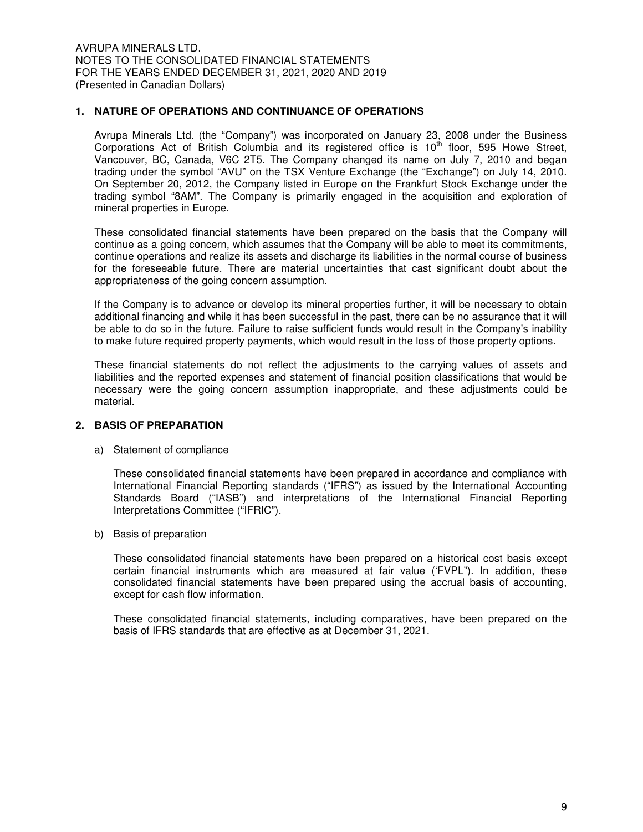#### **1. NATURE OF OPERATIONS AND CONTINUANCE OF OPERATIONS**

Avrupa Minerals Ltd. (the "Company") was incorporated on January 23, 2008 under the Business Corporations Act of British Columbia and its registered office is  $10<sup>th</sup>$  floor, 595 Howe Street, Vancouver, BC, Canada, V6C 2T5. The Company changed its name on July 7, 2010 and began trading under the symbol "AVU" on the TSX Venture Exchange (the "Exchange") on July 14, 2010. On September 20, 2012, the Company listed in Europe on the Frankfurt Stock Exchange under the trading symbol "8AM". The Company is primarily engaged in the acquisition and exploration of mineral properties in Europe.

These consolidated financial statements have been prepared on the basis that the Company will continue as a going concern, which assumes that the Company will be able to meet its commitments, continue operations and realize its assets and discharge its liabilities in the normal course of business for the foreseeable future. There are material uncertainties that cast significant doubt about the appropriateness of the going concern assumption.

If the Company is to advance or develop its mineral properties further, it will be necessary to obtain additional financing and while it has been successful in the past, there can be no assurance that it will be able to do so in the future. Failure to raise sufficient funds would result in the Company's inability to make future required property payments, which would result in the loss of those property options.

These financial statements do not reflect the adjustments to the carrying values of assets and liabilities and the reported expenses and statement of financial position classifications that would be necessary were the going concern assumption inappropriate, and these adjustments could be material.

#### **2. BASIS OF PREPARATION**

a) Statement of compliance

These consolidated financial statements have been prepared in accordance and compliance with International Financial Reporting standards ("IFRS") as issued by the International Accounting Standards Board ("IASB") and interpretations of the International Financial Reporting Interpretations Committee ("IFRIC").

b) Basis of preparation

These consolidated financial statements have been prepared on a historical cost basis except certain financial instruments which are measured at fair value ('FVPL"). In addition, these consolidated financial statements have been prepared using the accrual basis of accounting, except for cash flow information.

These consolidated financial statements, including comparatives, have been prepared on the basis of IFRS standards that are effective as at December 31, 2021.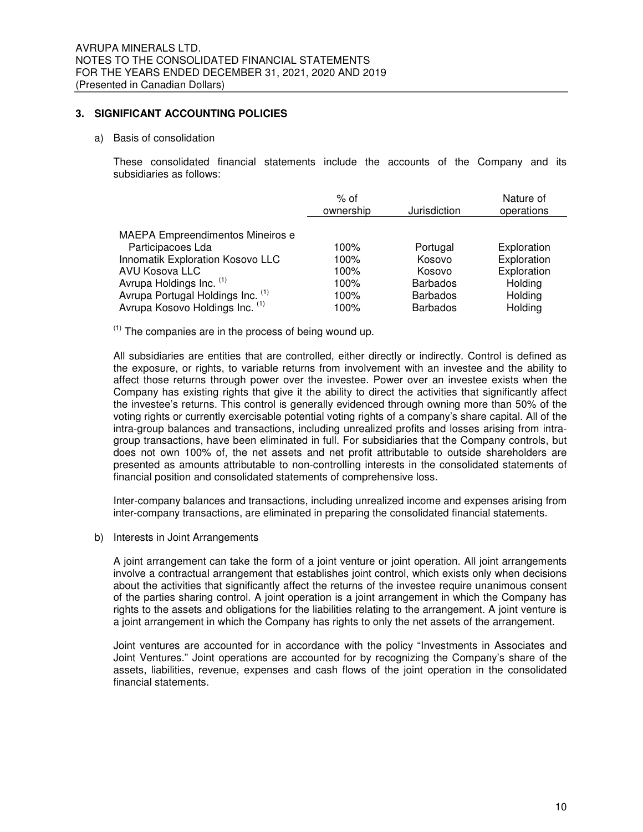#### **3. SIGNIFICANT ACCOUNTING POLICIES**

#### a) Basis of consolidation

These consolidated financial statements include the accounts of the Company and its subsidiaries as follows:

|                                         | $%$ of<br>ownership | Jurisdiction    | Nature of<br>operations |
|-----------------------------------------|---------------------|-----------------|-------------------------|
|                                         |                     |                 |                         |
| <b>MAEPA Empreendimentos Mineiros e</b> | 100%                |                 |                         |
| Participacoes Lda                       |                     | Portugal        | Exploration             |
| Innomatik Exploration Kosovo LLC        | 100%                | Kosovo          | Exploration             |
| AVU Kosova LLC                          | 100%                | Kosovo          | Exploration             |
| Avrupa Holdings Inc. (1)                | 100%                | <b>Barbados</b> | Holding                 |
| Avrupa Portugal Holdings Inc. (1)       | 100%                | <b>Barbados</b> | Holding                 |
| Avrupa Kosovo Holdings Inc. (1)         | 100%                | <b>Barbados</b> | Holding                 |

 $(1)$  The companies are in the process of being wound up.

All subsidiaries are entities that are controlled, either directly or indirectly. Control is defined as the exposure, or rights, to variable returns from involvement with an investee and the ability to affect those returns through power over the investee. Power over an investee exists when the Company has existing rights that give it the ability to direct the activities that significantly affect the investee's returns. This control is generally evidenced through owning more than 50% of the voting rights or currently exercisable potential voting rights of a company's share capital. All of the intra-group balances and transactions, including unrealized profits and losses arising from intragroup transactions, have been eliminated in full. For subsidiaries that the Company controls, but does not own 100% of, the net assets and net profit attributable to outside shareholders are presented as amounts attributable to non-controlling interests in the consolidated statements of financial position and consolidated statements of comprehensive loss.

Inter-company balances and transactions, including unrealized income and expenses arising from inter-company transactions, are eliminated in preparing the consolidated financial statements.

b) Interests in Joint Arrangements

A joint arrangement can take the form of a joint venture or joint operation. All joint arrangements involve a contractual arrangement that establishes joint control, which exists only when decisions about the activities that significantly affect the returns of the investee require unanimous consent of the parties sharing control. A joint operation is a joint arrangement in which the Company has rights to the assets and obligations for the liabilities relating to the arrangement. A joint venture is a joint arrangement in which the Company has rights to only the net assets of the arrangement.

Joint ventures are accounted for in accordance with the policy "Investments in Associates and Joint Ventures." Joint operations are accounted for by recognizing the Company's share of the assets, liabilities, revenue, expenses and cash flows of the joint operation in the consolidated financial statements.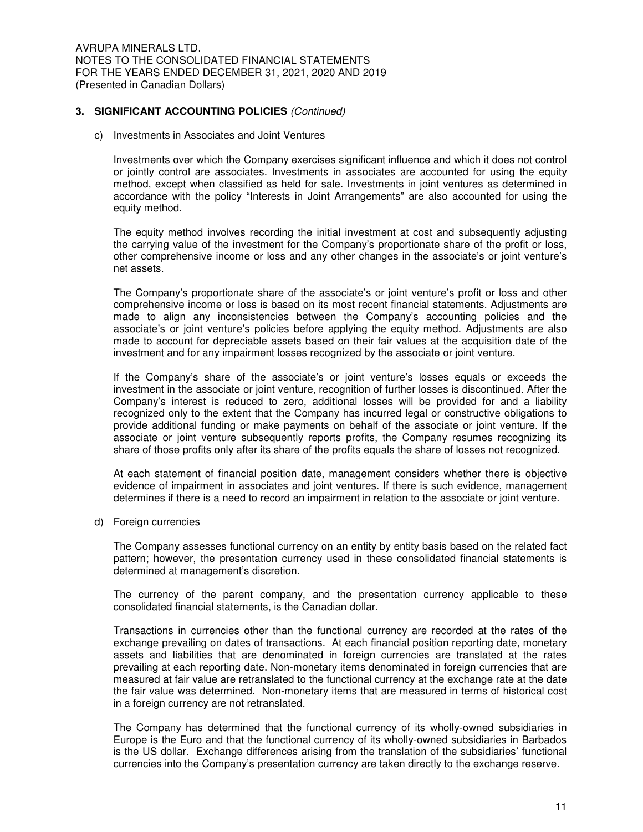c) Investments in Associates and Joint Ventures

Investments over which the Company exercises significant influence and which it does not control or jointly control are associates. Investments in associates are accounted for using the equity method, except when classified as held for sale. Investments in joint ventures as determined in accordance with the policy "Interests in Joint Arrangements" are also accounted for using the equity method.

The equity method involves recording the initial investment at cost and subsequently adjusting the carrying value of the investment for the Company's proportionate share of the profit or loss, other comprehensive income or loss and any other changes in the associate's or joint venture's net assets.

The Company's proportionate share of the associate's or joint venture's profit or loss and other comprehensive income or loss is based on its most recent financial statements. Adjustments are made to align any inconsistencies between the Company's accounting policies and the associate's or joint venture's policies before applying the equity method. Adjustments are also made to account for depreciable assets based on their fair values at the acquisition date of the investment and for any impairment losses recognized by the associate or joint venture.

If the Company's share of the associate's or joint venture's losses equals or exceeds the investment in the associate or joint venture, recognition of further losses is discontinued. After the Company's interest is reduced to zero, additional losses will be provided for and a liability recognized only to the extent that the Company has incurred legal or constructive obligations to provide additional funding or make payments on behalf of the associate or joint venture. If the associate or joint venture subsequently reports profits, the Company resumes recognizing its share of those profits only after its share of the profits equals the share of losses not recognized.

At each statement of financial position date, management considers whether there is objective evidence of impairment in associates and joint ventures. If there is such evidence, management determines if there is a need to record an impairment in relation to the associate or joint venture.

d) Foreign currencies

The Company assesses functional currency on an entity by entity basis based on the related fact pattern; however, the presentation currency used in these consolidated financial statements is determined at management's discretion.

The currency of the parent company, and the presentation currency applicable to these consolidated financial statements, is the Canadian dollar.

Transactions in currencies other than the functional currency are recorded at the rates of the exchange prevailing on dates of transactions. At each financial position reporting date, monetary assets and liabilities that are denominated in foreign currencies are translated at the rates prevailing at each reporting date. Non-monetary items denominated in foreign currencies that are measured at fair value are retranslated to the functional currency at the exchange rate at the date the fair value was determined. Non-monetary items that are measured in terms of historical cost in a foreign currency are not retranslated.

The Company has determined that the functional currency of its wholly-owned subsidiaries in Europe is the Euro and that the functional currency of its wholly-owned subsidiaries in Barbados is the US dollar. Exchange differences arising from the translation of the subsidiaries' functional currencies into the Company's presentation currency are taken directly to the exchange reserve.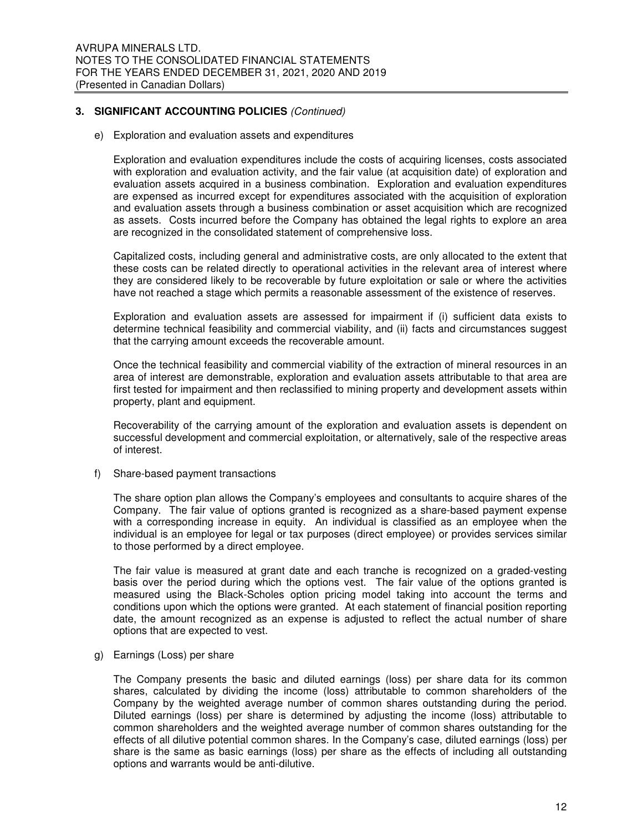e) Exploration and evaluation assets and expenditures

Exploration and evaluation expenditures include the costs of acquiring licenses, costs associated with exploration and evaluation activity, and the fair value (at acquisition date) of exploration and evaluation assets acquired in a business combination. Exploration and evaluation expenditures are expensed as incurred except for expenditures associated with the acquisition of exploration and evaluation assets through a business combination or asset acquisition which are recognized as assets. Costs incurred before the Company has obtained the legal rights to explore an area are recognized in the consolidated statement of comprehensive loss.

Capitalized costs, including general and administrative costs, are only allocated to the extent that these costs can be related directly to operational activities in the relevant area of interest where they are considered likely to be recoverable by future exploitation or sale or where the activities have not reached a stage which permits a reasonable assessment of the existence of reserves.

Exploration and evaluation assets are assessed for impairment if (i) sufficient data exists to determine technical feasibility and commercial viability, and (ii) facts and circumstances suggest that the carrying amount exceeds the recoverable amount.

Once the technical feasibility and commercial viability of the extraction of mineral resources in an area of interest are demonstrable, exploration and evaluation assets attributable to that area are first tested for impairment and then reclassified to mining property and development assets within property, plant and equipment.

Recoverability of the carrying amount of the exploration and evaluation assets is dependent on successful development and commercial exploitation, or alternatively, sale of the respective areas of interest.

f) Share-based payment transactions

The share option plan allows the Company's employees and consultants to acquire shares of the Company. The fair value of options granted is recognized as a share-based payment expense with a corresponding increase in equity. An individual is classified as an employee when the individual is an employee for legal or tax purposes (direct employee) or provides services similar to those performed by a direct employee.

The fair value is measured at grant date and each tranche is recognized on a graded-vesting basis over the period during which the options vest. The fair value of the options granted is measured using the Black-Scholes option pricing model taking into account the terms and conditions upon which the options were granted. At each statement of financial position reporting date, the amount recognized as an expense is adjusted to reflect the actual number of share options that are expected to vest.

g) Earnings (Loss) per share

The Company presents the basic and diluted earnings (loss) per share data for its common shares, calculated by dividing the income (loss) attributable to common shareholders of the Company by the weighted average number of common shares outstanding during the period. Diluted earnings (loss) per share is determined by adjusting the income (loss) attributable to common shareholders and the weighted average number of common shares outstanding for the effects of all dilutive potential common shares. In the Company's case, diluted earnings (loss) per share is the same as basic earnings (loss) per share as the effects of including all outstanding options and warrants would be anti-dilutive.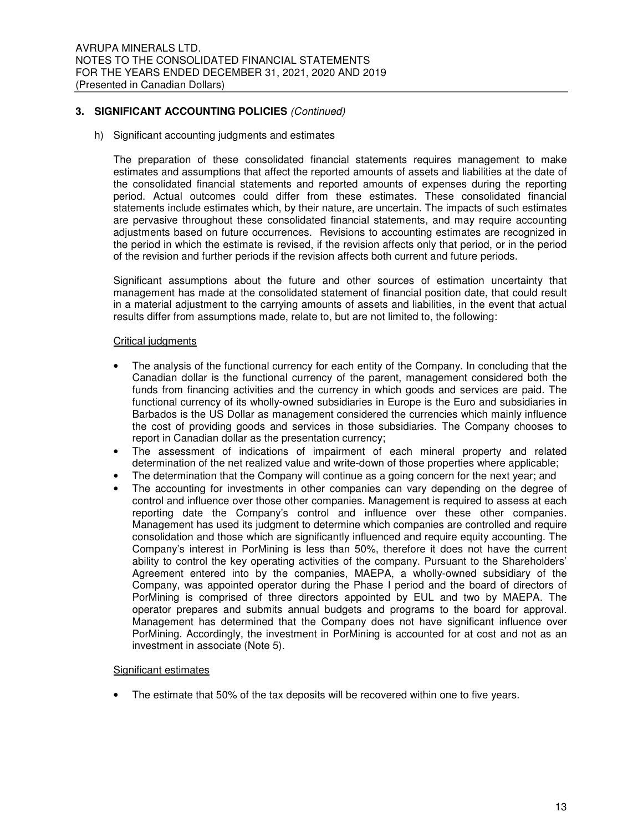h) Significant accounting judgments and estimates

The preparation of these consolidated financial statements requires management to make estimates and assumptions that affect the reported amounts of assets and liabilities at the date of the consolidated financial statements and reported amounts of expenses during the reporting period. Actual outcomes could differ from these estimates. These consolidated financial statements include estimates which, by their nature, are uncertain. The impacts of such estimates are pervasive throughout these consolidated financial statements, and may require accounting adjustments based on future occurrences. Revisions to accounting estimates are recognized in the period in which the estimate is revised, if the revision affects only that period, or in the period of the revision and further periods if the revision affects both current and future periods.

Significant assumptions about the future and other sources of estimation uncertainty that management has made at the consolidated statement of financial position date, that could result in a material adjustment to the carrying amounts of assets and liabilities, in the event that actual results differ from assumptions made, relate to, but are not limited to, the following:

#### Critical judgments

- The analysis of the functional currency for each entity of the Company. In concluding that the Canadian dollar is the functional currency of the parent, management considered both the funds from financing activities and the currency in which goods and services are paid. The functional currency of its wholly-owned subsidiaries in Europe is the Euro and subsidiaries in Barbados is the US Dollar as management considered the currencies which mainly influence the cost of providing goods and services in those subsidiaries. The Company chooses to report in Canadian dollar as the presentation currency;
- The assessment of indications of impairment of each mineral property and related determination of the net realized value and write-down of those properties where applicable;
- The determination that the Company will continue as a going concern for the next year; and
- The accounting for investments in other companies can vary depending on the degree of control and influence over those other companies. Management is required to assess at each reporting date the Company's control and influence over these other companies. Management has used its judgment to determine which companies are controlled and require consolidation and those which are significantly influenced and require equity accounting. The Company's interest in PorMining is less than 50%, therefore it does not have the current ability to control the key operating activities of the company. Pursuant to the Shareholders' Agreement entered into by the companies, MAEPA, a wholly-owned subsidiary of the Company, was appointed operator during the Phase I period and the board of directors of PorMining is comprised of three directors appointed by EUL and two by MAEPA. The operator prepares and submits annual budgets and programs to the board for approval. Management has determined that the Company does not have significant influence over PorMining. Accordingly, the investment in PorMining is accounted for at cost and not as an investment in associate (Note 5).

#### Significant estimates

• The estimate that 50% of the tax deposits will be recovered within one to five years.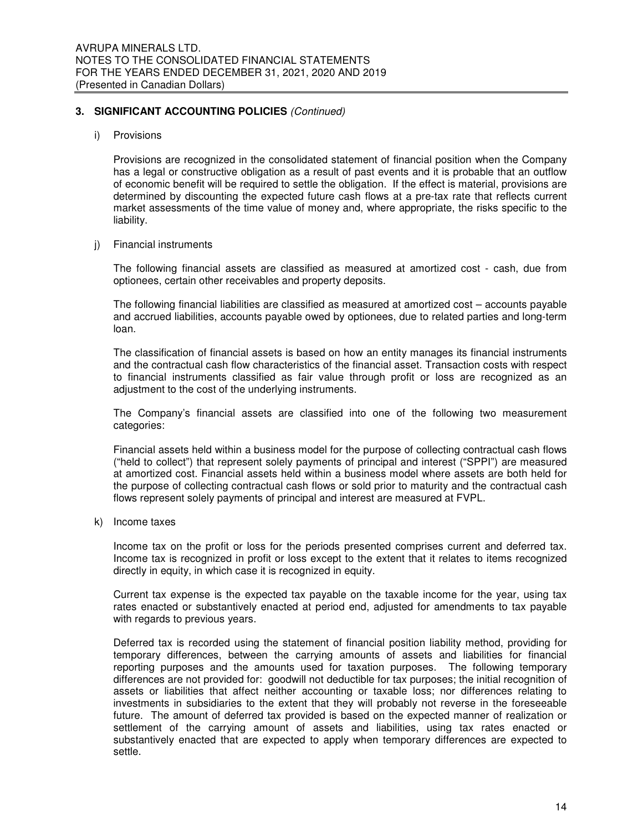i) Provisions

Provisions are recognized in the consolidated statement of financial position when the Company has a legal or constructive obligation as a result of past events and it is probable that an outflow of economic benefit will be required to settle the obligation. If the effect is material, provisions are determined by discounting the expected future cash flows at a pre-tax rate that reflects current market assessments of the time value of money and, where appropriate, the risks specific to the liability.

j) Financial instruments

The following financial assets are classified as measured at amortized cost - cash, due from optionees, certain other receivables and property deposits.

The following financial liabilities are classified as measured at amortized cost – accounts payable and accrued liabilities, accounts payable owed by optionees, due to related parties and long-term loan.

The classification of financial assets is based on how an entity manages its financial instruments and the contractual cash flow characteristics of the financial asset. Transaction costs with respect to financial instruments classified as fair value through profit or loss are recognized as an adjustment to the cost of the underlying instruments.

The Company's financial assets are classified into one of the following two measurement categories:

Financial assets held within a business model for the purpose of collecting contractual cash flows ("held to collect") that represent solely payments of principal and interest ("SPPI") are measured at amortized cost. Financial assets held within a business model where assets are both held for the purpose of collecting contractual cash flows or sold prior to maturity and the contractual cash flows represent solely payments of principal and interest are measured at FVPL.

k) Income taxes

Income tax on the profit or loss for the periods presented comprises current and deferred tax. Income tax is recognized in profit or loss except to the extent that it relates to items recognized directly in equity, in which case it is recognized in equity.

Current tax expense is the expected tax payable on the taxable income for the year, using tax rates enacted or substantively enacted at period end, adjusted for amendments to tax payable with regards to previous years.

Deferred tax is recorded using the statement of financial position liability method, providing for temporary differences, between the carrying amounts of assets and liabilities for financial reporting purposes and the amounts used for taxation purposes. The following temporary differences are not provided for: goodwill not deductible for tax purposes; the initial recognition of assets or liabilities that affect neither accounting or taxable loss; nor differences relating to investments in subsidiaries to the extent that they will probably not reverse in the foreseeable future. The amount of deferred tax provided is based on the expected manner of realization or settlement of the carrying amount of assets and liabilities, using tax rates enacted or substantively enacted that are expected to apply when temporary differences are expected to settle.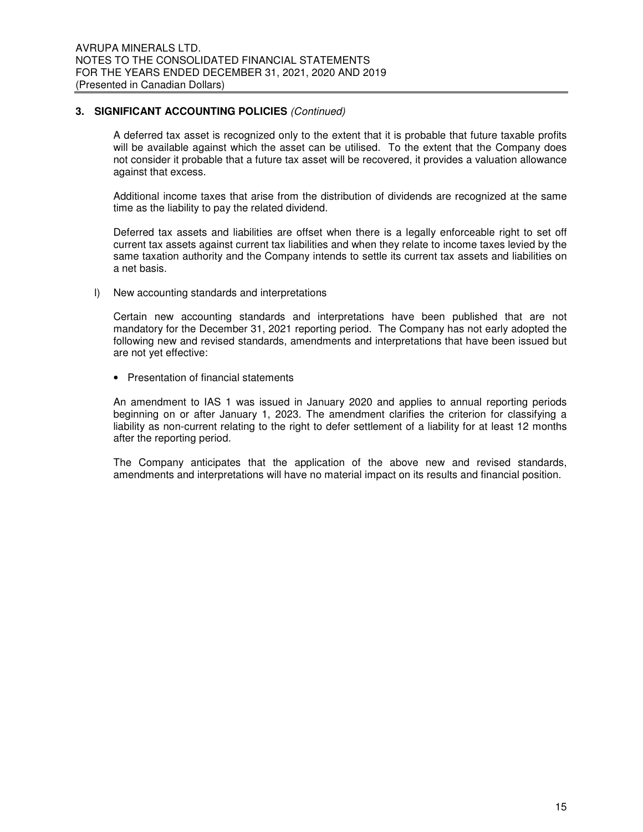A deferred tax asset is recognized only to the extent that it is probable that future taxable profits will be available against which the asset can be utilised. To the extent that the Company does not consider it probable that a future tax asset will be recovered, it provides a valuation allowance against that excess.

Additional income taxes that arise from the distribution of dividends are recognized at the same time as the liability to pay the related dividend.

Deferred tax assets and liabilities are offset when there is a legally enforceable right to set off current tax assets against current tax liabilities and when they relate to income taxes levied by the same taxation authority and the Company intends to settle its current tax assets and liabilities on a net basis.

l) New accounting standards and interpretations

Certain new accounting standards and interpretations have been published that are not mandatory for the December 31, 2021 reporting period. The Company has not early adopted the following new and revised standards, amendments and interpretations that have been issued but are not yet effective:

• Presentation of financial statements

An amendment to IAS 1 was issued in January 2020 and applies to annual reporting periods beginning on or after January 1, 2023. The amendment clarifies the criterion for classifying a liability as non-current relating to the right to defer settlement of a liability for at least 12 months after the reporting period.

The Company anticipates that the application of the above new and revised standards, amendments and interpretations will have no material impact on its results and financial position.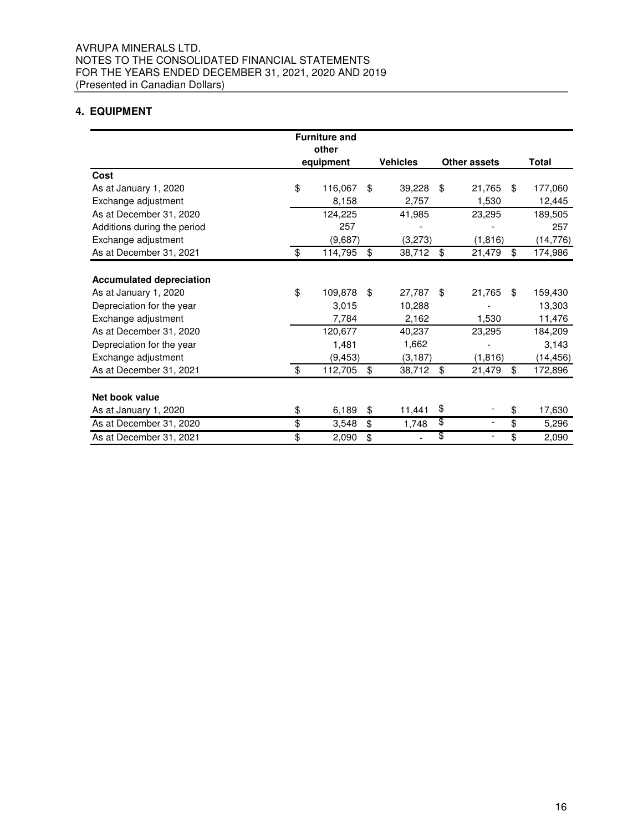#### **4. EQUIPMENT**

|                                 | <b>Furniture and</b><br>other |                 |                                |               |
|---------------------------------|-------------------------------|-----------------|--------------------------------|---------------|
|                                 | equipment                     | <b>Vehicles</b> | Other assets                   | <b>Total</b>  |
| Cost                            |                               |                 |                                |               |
| As at January 1, 2020           | \$<br>116,067                 | \$<br>39,228    | \$<br>21,765<br>\$             | 177,060       |
| Exchange adjustment             | 8,158                         | 2,757           | 1,530                          | 12,445        |
| As at December 31, 2020         | 124,225                       | 41,985          | 23,295                         | 189,505       |
| Additions during the period     | 257                           |                 |                                | 257           |
| Exchange adjustment             | (9,687)                       | (3,273)         | (1, 816)                       | (14, 776)     |
| As at December 31, 2021         | \$<br>114,795                 | \$<br>38,712    | \$<br>21,479                   | \$<br>174,986 |
| <b>Accumulated depreciation</b> |                               |                 |                                |               |
| As at January 1, 2020           | \$<br>109,878                 | \$<br>27,787    | \$<br>21,765<br>\$             | 159,430       |
| Depreciation for the year       | 3,015                         | 10,288          |                                | 13,303        |
| Exchange adjustment             | 7,784                         | 2,162           | 1,530                          | 11,476        |
| As at December 31, 2020         | 120,677                       | 40,237          | 23,295                         | 184,209       |
| Depreciation for the year       | 1,481                         | 1,662           |                                | 3,143         |
| Exchange adjustment             | (9, 453)                      | (3, 187)        | (1, 816)                       | (14, 456)     |
| As at December 31, 2021         | \$<br>112,705                 | \$<br>38,712    | \$<br>21,479                   | \$<br>172,896 |
| Net book value                  |                               |                 |                                |               |
| As at January 1, 2020           | \$<br>6,189                   | \$<br>11,441    | \$                             | \$<br>17,630  |
| As at December 31, 2020         | \$<br>3,548                   | \$<br>1,748     | \$<br>$\overline{\phantom{a}}$ | \$<br>5,296   |
| As at December 31, 2021         | \$<br>2,090                   | \$              | \$                             | \$<br>2,090   |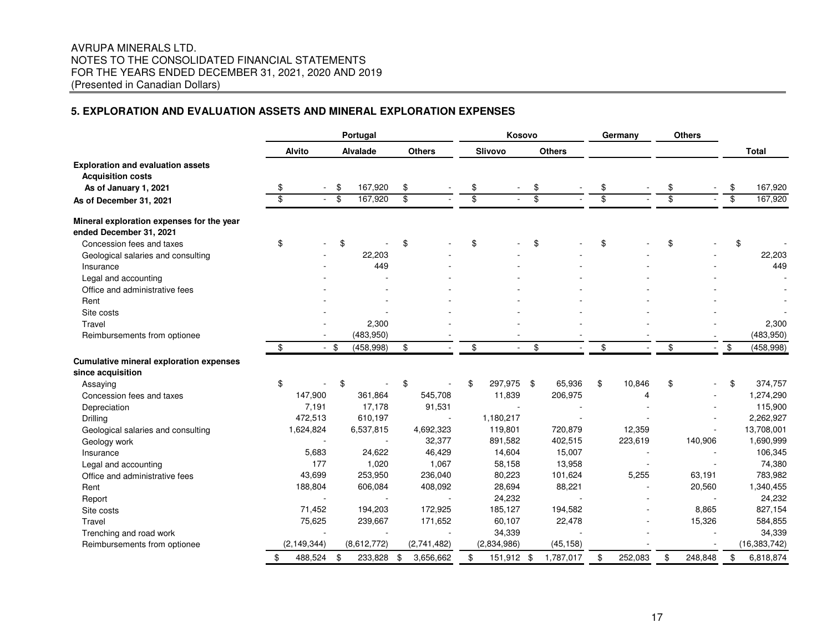#### AVRUPA MINERALS LTD. NOTES TO THE CONSOLIDATED FINANCIAL STATEMENTS FOR THE YEARS ENDED DECEMBER 31, 2021, 2020 AND 2019 (Presented in Canadian Dollars)

#### **5. EXPLORATION AND EVALUATION ASSETS AND MINERAL EXPLORATION EXPENSES**

|                                                                      | Portugal |               |        |             |    |               | Kosovo          |                |                 |               | Germany         | <b>Others</b> |                 |         |                         |                |
|----------------------------------------------------------------------|----------|---------------|--------|-------------|----|---------------|-----------------|----------------|-----------------|---------------|-----------------|---------------|-----------------|---------|-------------------------|----------------|
|                                                                      |          | Alvito        |        | Alvalade    |    | <b>Others</b> |                 | <b>Slivovo</b> |                 | <b>Others</b> |                 |               |                 |         |                         | <b>Total</b>   |
| <b>Exploration and evaluation assets</b><br><b>Acquisition costs</b> |          |               |        |             |    |               |                 |                |                 |               |                 |               |                 |         |                         |                |
| As of January 1, 2021                                                | \$       |               | \$     | 167,920     | \$ |               | \$              |                | \$              |               | \$              |               | \$              |         | \$                      | 167,920        |
| As of December 31, 2021                                              | \$       | $\sim$        | \$     | 167,920     | \$ |               | $\overline{\$}$ |                | $\overline{\$}$ |               | $\overline{\$}$ |               | $\overline{\$}$ |         | $\overline{\mathbf{S}}$ | 167,920        |
| Mineral exploration expenses for the year<br>ended December 31, 2021 |          |               |        |             |    |               |                 |                |                 |               |                 |               |                 |         |                         |                |
| Concession fees and taxes                                            | \$       |               | \$     |             | \$ |               | \$              |                | \$              |               | \$              |               | \$              |         | \$                      |                |
| Geological salaries and consulting                                   |          |               |        | 22,203      |    |               |                 |                |                 |               |                 |               |                 |         |                         | 22,203         |
| Insurance                                                            |          |               |        | 449         |    |               |                 |                |                 |               |                 |               |                 |         |                         | 449            |
| Legal and accounting                                                 |          |               |        |             |    |               |                 |                |                 |               |                 |               |                 |         |                         |                |
| Office and administrative fees                                       |          |               |        |             |    |               |                 |                |                 |               |                 |               |                 |         |                         |                |
| Rent                                                                 |          |               |        |             |    |               |                 |                |                 |               |                 |               |                 |         |                         |                |
| Site costs                                                           |          |               |        |             |    |               |                 |                |                 |               |                 |               |                 |         |                         |                |
| Travel                                                               |          |               |        | 2,300       |    |               |                 |                |                 |               |                 |               |                 |         |                         | 2,300          |
| Reimbursements from optionee                                         |          |               |        | (483,950)   |    |               |                 |                |                 |               |                 |               |                 |         |                         | (483, 950)     |
|                                                                      | \$       |               | $-$ \$ | (458, 998)  | \$ |               | \$              |                | \$              |               | \$              |               | \$              |         | \$                      | (458, 998)     |
| <b>Cumulative mineral exploration expenses</b>                       |          |               |        |             |    |               |                 |                |                 |               |                 |               |                 |         |                         |                |
| since acquisition                                                    |          |               |        |             |    |               |                 |                |                 |               |                 |               |                 |         |                         |                |
| Assaying                                                             | \$       |               | \$     |             | \$ |               | \$              | 297,975 \$     |                 | 65,936        | \$              | 10,846        | \$              |         | \$                      | 374,757        |
| Concession fees and taxes                                            |          | 147,900       |        | 361,864     |    | 545,708       |                 | 11,839         |                 | 206,975       |                 | 4             |                 |         |                         | 1,274,290      |
| Depreciation                                                         |          | 7,191         |        | 17,178      |    | 91,531        |                 |                |                 |               |                 |               |                 |         |                         | 115,900        |
| Drilling                                                             |          | 472,513       |        | 610,197     |    |               |                 | 1,180,217      |                 |               |                 |               |                 |         |                         | 2,262,927      |
| Geological salaries and consulting                                   |          | 1,624,824     |        | 6,537,815   |    | 4,692,323     |                 | 119,801        |                 | 720,879       |                 | 12,359        |                 |         |                         | 13,708,001     |
| Geology work                                                         |          |               |        |             |    | 32,377        |                 | 891,582        |                 | 402,515       |                 | 223,619       |                 | 140,906 |                         | 1,690,999      |
| Insurance                                                            |          | 5,683         |        | 24,622      |    | 46,429        |                 | 14,604         |                 | 15,007        |                 |               |                 |         |                         | 106,345        |
| Legal and accounting                                                 |          | 177           |        | 1,020       |    | 1,067         |                 | 58,158         |                 | 13,958        |                 |               |                 |         |                         | 74,380         |
| Office and administrative fees                                       |          | 43,699        |        | 253,950     |    | 236,040       |                 | 80,223         |                 | 101,624       |                 | 5,255         |                 | 63,191  |                         | 783,982        |
| Rent                                                                 |          | 188,804       |        | 606,084     |    | 408,092       |                 | 28,694         |                 | 88,221        |                 |               |                 | 20,560  |                         | 1,340,455      |
| Report                                                               |          |               |        |             |    |               |                 | 24,232         |                 |               |                 |               |                 |         |                         | 24,232         |
| Site costs                                                           |          | 71,452        |        | 194,203     |    | 172,925       |                 | 185,127        |                 | 194,582       |                 |               |                 | 8,865   |                         | 827,154        |
| Travel                                                               |          | 75,625        |        | 239,667     |    | 171,652       |                 | 60,107         |                 | 22,478        |                 |               |                 | 15,326  |                         | 584,855        |
| Trenching and road work                                              |          |               |        |             |    |               |                 | 34,339         |                 |               |                 |               |                 |         |                         | 34,339         |
| Reimbursements from optionee                                         |          | (2, 149, 344) |        | (8,612,772) |    | (2,741,482)   |                 | (2,834,986)    |                 | (45, 158)     |                 |               |                 |         |                         | (16, 383, 742) |
|                                                                      | \$       | 488,524       | \$     | 233,828     | \$ | 3,656,662     | \$              | 151,912 \$     |                 | 1,787,017     | \$              | 252,083       | \$              | 248,848 | \$                      | 6,818,874      |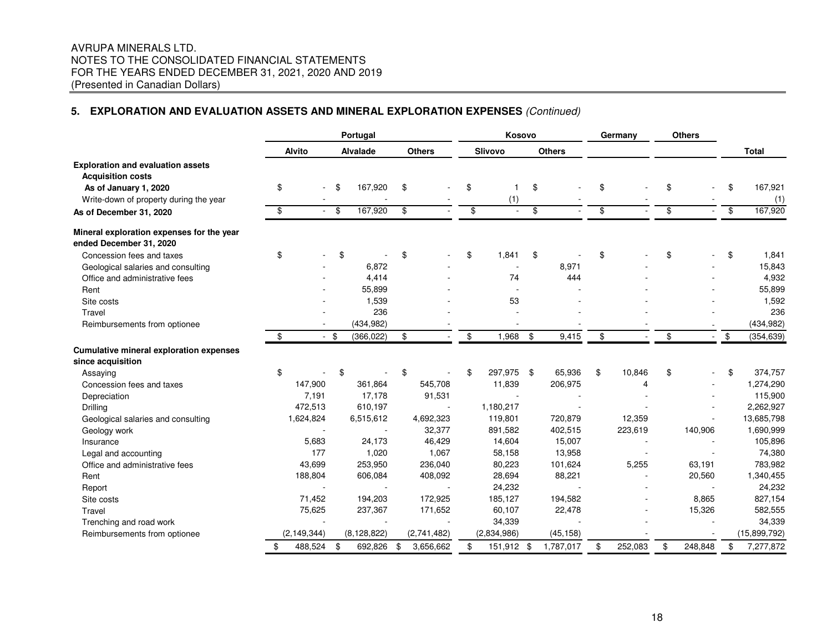#### AVRUPA MINERALS LTD. NOTES TO THE CONSOLIDATED FINANCIAL STATEMENTS FOR THE YEARS ENDED DECEMBER 31, 2021, 2020 AND 2019 (Presented in Canadian Dollars)

#### **5. EXPLORATION AND EVALUATION ASSETS AND MINERAL EXPLORATION EXPENSES** (Continued)

|                                                                      | Portugal |               |        |                 |                 |                         | Kosovo         |                         |               |                         | Germany | <b>Others</b>           |         |                  |
|----------------------------------------------------------------------|----------|---------------|--------|-----------------|-----------------|-------------------------|----------------|-------------------------|---------------|-------------------------|---------|-------------------------|---------|------------------|
|                                                                      |          | <b>Alvito</b> |        | <b>Alvalade</b> | <b>Others</b>   |                         | <b>Slivovo</b> |                         | <b>Others</b> |                         |         |                         |         | <b>Total</b>     |
| <b>Exploration and evaluation assets</b><br><b>Acquisition costs</b> |          |               |        |                 |                 |                         |                |                         |               |                         |         |                         |         |                  |
| As of January 1, 2020                                                | \$       |               |        | 167,920         | \$              | \$                      |                | \$                      |               | \$                      |         | \$                      |         | \$<br>167,921    |
| Write-down of property during the year                               |          |               |        |                 |                 |                         | (1)            |                         |               |                         |         |                         |         | (1)              |
| As of December 31, 2020                                              | \$       | $\sim$        | -\$    | 167,920         | \$              | $\overline{\mathbf{e}}$ | $\sim$         | $\overline{\mathbf{e}}$ |               | $\overline{\mathbf{e}}$ |         | $\overline{\mathbf{e}}$ |         | \$<br>167,920    |
| Mineral exploration expenses for the year<br>ended December 31, 2020 |          |               |        |                 |                 |                         |                |                         |               |                         |         |                         |         |                  |
| Concession fees and taxes                                            | \$       |               | \$     |                 | \$              | \$                      | 1,841          | \$                      |               | \$                      |         | \$                      |         | \$<br>1,841      |
| Geological salaries and consulting                                   |          |               |        | 6,872           |                 |                         |                |                         | 8,971         |                         |         |                         |         | 15,843           |
| Office and administrative fees                                       |          |               |        | 4,414           |                 |                         | 74             |                         | 444           |                         |         |                         |         | 4,932            |
| Rent                                                                 |          |               |        | 55,899          |                 |                         |                |                         |               |                         |         |                         |         | 55,899           |
| Site costs                                                           |          |               |        | 1,539           |                 |                         | 53             |                         |               |                         |         |                         |         | 1,592            |
| Travel                                                               |          |               |        | 236             |                 |                         |                |                         |               |                         |         |                         |         | 236              |
| Reimbursements from optionee                                         |          |               |        | (434, 982)      |                 |                         |                |                         |               |                         |         |                         |         | (434, 982)       |
|                                                                      | \$       |               | $-$ \$ | (366, 022)      | \$              | \$<br>ä,                | 1,968          | \$                      | 9,415         | \$                      |         | \$                      |         | \$<br>(354, 639) |
| <b>Cumulative mineral exploration expenses</b><br>since acquisition  |          |               |        |                 |                 |                         |                |                         |               |                         |         |                         |         |                  |
| Assaying                                                             | \$       |               | \$     |                 | \$              | \$                      | 297,975 \$     |                         | 65,936        | \$                      | 10,846  | \$                      |         | \$<br>374,757    |
| Concession fees and taxes                                            |          | 147,900       |        | 361,864         | 545,708         |                         | 11,839         |                         | 206,975       |                         | 4       |                         |         | 1,274,290        |
| Depreciation                                                         |          | 7,191         |        | 17,178          | 91,531          |                         |                |                         |               |                         |         |                         |         | 115,900          |
| Drilling                                                             |          | 472,513       |        | 610,197         |                 |                         | 1,180,217      |                         |               |                         |         |                         |         | 2,262,927        |
| Geological salaries and consulting                                   |          | 1,624,824     |        | 6,515,612       | 4,692,323       |                         | 119,801        |                         | 720,879       |                         | 12,359  |                         |         | 13,685,798       |
| Geology work                                                         |          |               |        |                 | 32,377          |                         | 891,582        |                         | 402,515       |                         | 223,619 |                         | 140,906 | 1,690,999        |
| Insurance                                                            |          | 5,683         |        | 24,173          | 46,429          |                         | 14,604         |                         | 15,007        |                         |         |                         |         | 105,896          |
| Legal and accounting                                                 |          | 177           |        | 1,020           | 1,067           |                         | 58,158         |                         | 13,958        |                         |         |                         |         | 74,380           |
| Office and administrative fees                                       |          | 43,699        |        | 253,950         | 236,040         |                         | 80,223         |                         | 101,624       |                         | 5,255   |                         | 63,191  | 783,982          |
| Rent                                                                 |          | 188,804       |        | 606,084         | 408,092         |                         | 28,694         |                         | 88,221        |                         |         |                         | 20,560  | 1,340,455        |
| Report                                                               |          |               |        |                 |                 |                         | 24,232         |                         |               |                         |         |                         |         | 24,232           |
| Site costs                                                           |          | 71,452        |        | 194,203         | 172,925         |                         | 185,127        |                         | 194,582       |                         |         |                         | 8,865   | 827,154          |
| Travel                                                               |          | 75,625        |        | 237,367         | 171,652         |                         | 60,107         |                         | 22,478        |                         |         |                         | 15,326  | 582,555          |
| Trenching and road work                                              |          |               |        |                 |                 |                         | 34,339         |                         |               |                         |         |                         |         | 34,339           |
| Reimbursements from optionee                                         |          | (2, 149, 344) |        | (8, 128, 822)   | (2,741,482)     |                         | (2,834,986)    |                         | (45, 158)     |                         |         |                         |         | (15,899,792)     |
|                                                                      | \$       | 488,524       | \$     | 692,826         | 3,656,662<br>\$ | \$                      | 151,912 \$     |                         | 1,787,017     | \$                      | 252,083 | \$                      | 248,848 | \$<br>7,277,872  |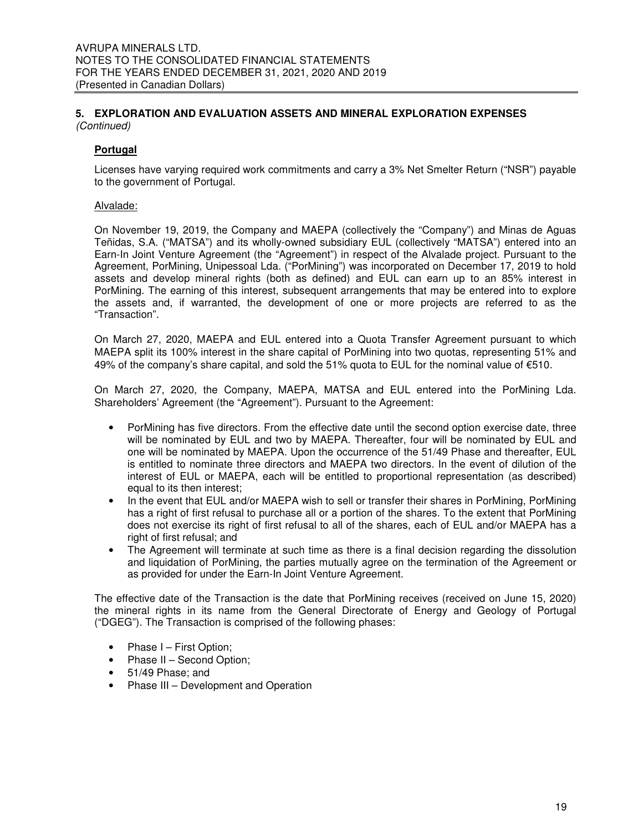#### **Portugal**

Licenses have varying required work commitments and carry a 3% Net Smelter Return ("NSR") payable to the government of Portugal.

#### Alvalade:

On November 19, 2019, the Company and MAEPA (collectively the "Company") and Minas de Aguas Teñidas, S.A. ("MATSA") and its wholly-owned subsidiary EUL (collectively "MATSA") entered into an Earn-In Joint Venture Agreement (the "Agreement") in respect of the Alvalade project. Pursuant to the Agreement, PorMining, Unipessoal Lda. ("PorMining") was incorporated on December 17, 2019 to hold assets and develop mineral rights (both as defined) and EUL can earn up to an 85% interest in PorMining. The earning of this interest, subsequent arrangements that may be entered into to explore the assets and, if warranted, the development of one or more projects are referred to as the "Transaction".

On March 27, 2020, MAEPA and EUL entered into a Quota Transfer Agreement pursuant to which MAEPA split its 100% interest in the share capital of PorMining into two quotas, representing 51% and 49% of the company's share capital, and sold the 51% quota to EUL for the nominal value of  $€510$ .

On March 27, 2020, the Company, MAEPA, MATSA and EUL entered into the PorMining Lda. Shareholders' Agreement (the "Agreement"). Pursuant to the Agreement:

- PorMining has five directors. From the effective date until the second option exercise date, three will be nominated by EUL and two by MAEPA. Thereafter, four will be nominated by EUL and one will be nominated by MAEPA. Upon the occurrence of the 51/49 Phase and thereafter, EUL is entitled to nominate three directors and MAEPA two directors. In the event of dilution of the interest of EUL or MAEPA, each will be entitled to proportional representation (as described) equal to its then interest;
- In the event that EUL and/or MAEPA wish to sell or transfer their shares in PorMining, PorMining has a right of first refusal to purchase all or a portion of the shares. To the extent that PorMining does not exercise its right of first refusal to all of the shares, each of EUL and/or MAEPA has a right of first refusal; and
- The Agreement will terminate at such time as there is a final decision regarding the dissolution and liquidation of PorMining, the parties mutually agree on the termination of the Agreement or as provided for under the Earn-In Joint Venture Agreement.

The effective date of the Transaction is the date that PorMining receives (received on June 15, 2020) the mineral rights in its name from the General Directorate of Energy and Geology of Portugal ("DGEG"). The Transaction is comprised of the following phases:

- Phase I First Option;
- Phase II Second Option;
- 51/49 Phase; and
- Phase III Development and Operation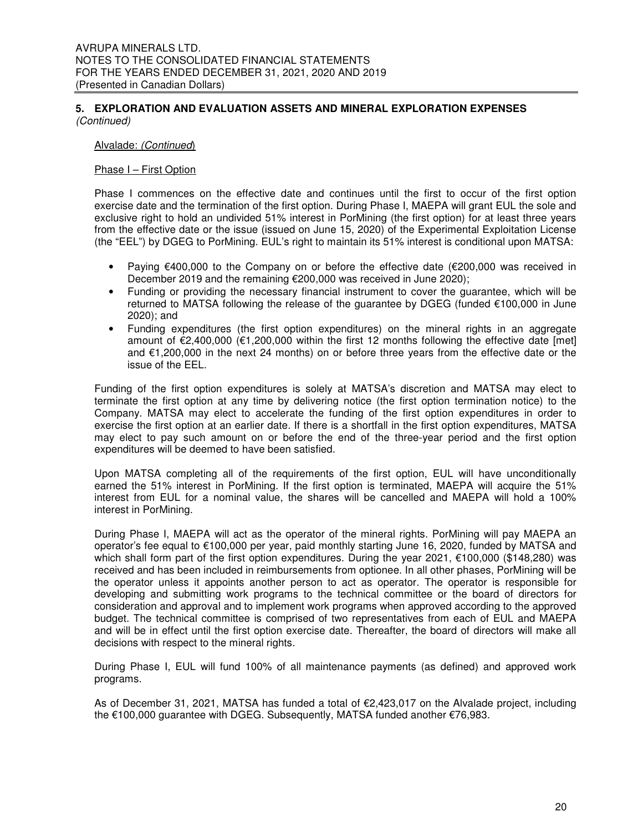#### Alvalade: (Continued)

#### Phase I – First Option

Phase I commences on the effective date and continues until the first to occur of the first option exercise date and the termination of the first option. During Phase I, MAEPA will grant EUL the sole and exclusive right to hold an undivided 51% interest in PorMining (the first option) for at least three years from the effective date or the issue (issued on June 15, 2020) of the Experimental Exploitation License (the "EEL") by DGEG to PorMining. EUL's right to maintain its 51% interest is conditional upon MATSA:

- Paying  $\epsilon$ 400,000 to the Company on or before the effective date ( $\epsilon$ 200,000 was received in December 2019 and the remaining €200,000 was received in June 2020);
- Funding or providing the necessary financial instrument to cover the guarantee, which will be returned to MATSA following the release of the guarantee by DGEG (funded €100,000 in June 2020); and
- Funding expenditures (the first option expenditures) on the mineral rights in an aggregate amount of €2,400,000 (€1,200,000 within the first 12 months following the effective date [met] and €1,200,000 in the next 24 months) on or before three years from the effective date or the issue of the EEL.

Funding of the first option expenditures is solely at MATSA's discretion and MATSA may elect to terminate the first option at any time by delivering notice (the first option termination notice) to the Company. MATSA may elect to accelerate the funding of the first option expenditures in order to exercise the first option at an earlier date. If there is a shortfall in the first option expenditures, MATSA may elect to pay such amount on or before the end of the three-year period and the first option expenditures will be deemed to have been satisfied.

Upon MATSA completing all of the requirements of the first option, EUL will have unconditionally earned the 51% interest in PorMining. If the first option is terminated, MAEPA will acquire the 51% interest from EUL for a nominal value, the shares will be cancelled and MAEPA will hold a 100% interest in PorMining.

During Phase I, MAEPA will act as the operator of the mineral rights. PorMining will pay MAEPA an operator's fee equal to €100,000 per year, paid monthly starting June 16, 2020, funded by MATSA and which shall form part of the first option expenditures. During the year 2021, €100,000 (\$148,280) was received and has been included in reimbursements from optionee. In all other phases, PorMining will be the operator unless it appoints another person to act as operator. The operator is responsible for developing and submitting work programs to the technical committee or the board of directors for consideration and approval and to implement work programs when approved according to the approved budget. The technical committee is comprised of two representatives from each of EUL and MAEPA and will be in effect until the first option exercise date. Thereafter, the board of directors will make all decisions with respect to the mineral rights.

During Phase I, EUL will fund 100% of all maintenance payments (as defined) and approved work programs.

As of December 31, 2021, MATSA has funded a total of €2,423,017 on the Alvalade project, including the €100,000 guarantee with DGEG. Subsequently, MATSA funded another €76,983.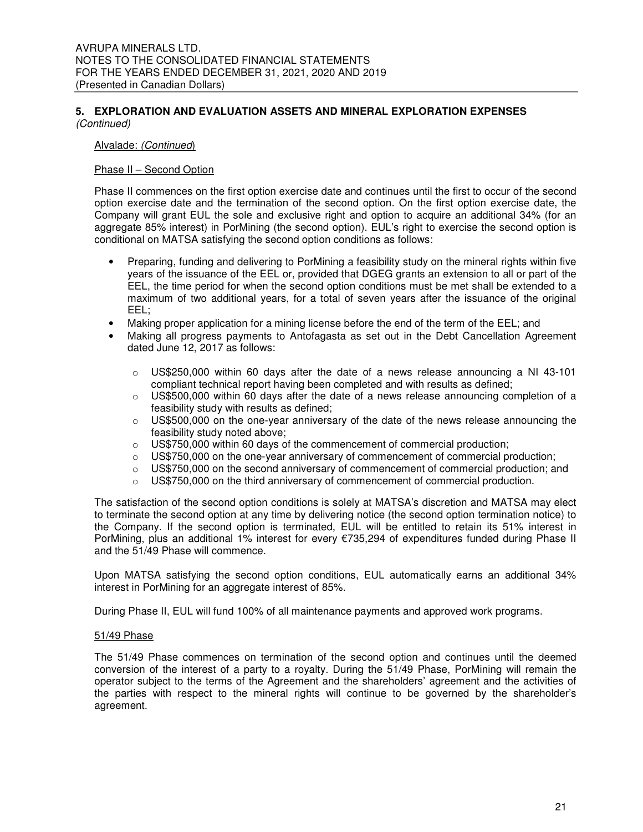#### Alvalade: (Continued)

#### Phase II – Second Option

Phase II commences on the first option exercise date and continues until the first to occur of the second option exercise date and the termination of the second option. On the first option exercise date, the Company will grant EUL the sole and exclusive right and option to acquire an additional 34% (for an aggregate 85% interest) in PorMining (the second option). EUL's right to exercise the second option is conditional on MATSA satisfying the second option conditions as follows:

- Preparing, funding and delivering to PorMining a feasibility study on the mineral rights within five years of the issuance of the EEL or, provided that DGEG grants an extension to all or part of the EEL, the time period for when the second option conditions must be met shall be extended to a maximum of two additional years, for a total of seven years after the issuance of the original EEL;
- Making proper application for a mining license before the end of the term of the EEL; and
- Making all progress payments to Antofagasta as set out in the Debt Cancellation Agreement dated June 12, 2017 as follows:
	- $\circ$  US\$250,000 within 60 days after the date of a news release announcing a NI 43-101 compliant technical report having been completed and with results as defined;
	- $\circ$  US\$500,000 within 60 days after the date of a news release announcing completion of a feasibility study with results as defined;
	- $\circ$  US\$500,000 on the one-year anniversary of the date of the news release announcing the feasibility study noted above;
	- o US\$750,000 within 60 days of the commencement of commercial production;
	- $\circ$  US\$750,000 on the one-year anniversary of commencement of commercial production;
	- $\circ$  US\$750,000 on the second anniversary of commencement of commercial production; and
	- $\circ$  US\$750,000 on the third anniversary of commencement of commercial production.

The satisfaction of the second option conditions is solely at MATSA's discretion and MATSA may elect to terminate the second option at any time by delivering notice (the second option termination notice) to the Company. If the second option is terminated, EUL will be entitled to retain its 51% interest in PorMining, plus an additional 1% interest for every €735,294 of expenditures funded during Phase II and the 51/49 Phase will commence.

Upon MATSA satisfying the second option conditions, EUL automatically earns an additional 34% interest in PorMining for an aggregate interest of 85%.

During Phase II, EUL will fund 100% of all maintenance payments and approved work programs.

#### 51/49 Phase

The 51/49 Phase commences on termination of the second option and continues until the deemed conversion of the interest of a party to a royalty. During the 51/49 Phase, PorMining will remain the operator subject to the terms of the Agreement and the shareholders' agreement and the activities of the parties with respect to the mineral rights will continue to be governed by the shareholder's agreement.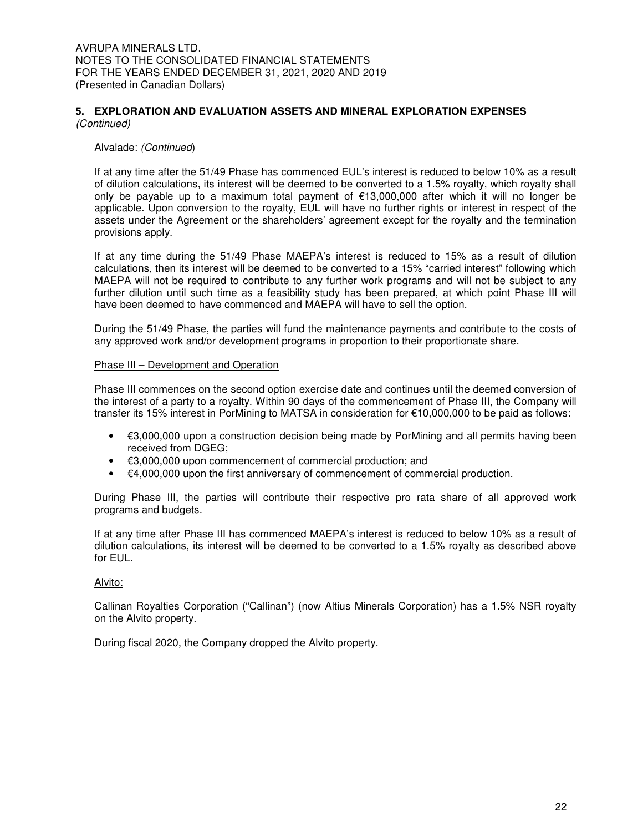#### Alvalade: (Continued)

If at any time after the 51/49 Phase has commenced EUL's interest is reduced to below 10% as a result of dilution calculations, its interest will be deemed to be converted to a 1.5% royalty, which royalty shall only be payable up to a maximum total payment of €13,000,000 after which it will no longer be applicable. Upon conversion to the royalty, EUL will have no further rights or interest in respect of the assets under the Agreement or the shareholders' agreement except for the royalty and the termination provisions apply.

If at any time during the 51/49 Phase MAEPA's interest is reduced to 15% as a result of dilution calculations, then its interest will be deemed to be converted to a 15% "carried interest" following which MAEPA will not be required to contribute to any further work programs and will not be subject to any further dilution until such time as a feasibility study has been prepared, at which point Phase III will have been deemed to have commenced and MAEPA will have to sell the option.

During the 51/49 Phase, the parties will fund the maintenance payments and contribute to the costs of any approved work and/or development programs in proportion to their proportionate share.

#### Phase III – Development and Operation

Phase III commences on the second option exercise date and continues until the deemed conversion of the interest of a party to a royalty. Within 90 days of the commencement of Phase III, the Company will transfer its 15% interest in PorMining to MATSA in consideration for €10,000,000 to be paid as follows:

- $\cdot$   $\in$  3,000,000 upon a construction decision being made by PorMining and all permits having been received from DGEG;
- €3,000,000 upon commencement of commercial production; and
- €4,000,000 upon the first anniversary of commencement of commercial production.

During Phase III, the parties will contribute their respective pro rata share of all approved work programs and budgets.

If at any time after Phase III has commenced MAEPA's interest is reduced to below 10% as a result of dilution calculations, its interest will be deemed to be converted to a 1.5% royalty as described above for EUL.

#### Alvito:

Callinan Royalties Corporation ("Callinan") (now Altius Minerals Corporation) has a 1.5% NSR royalty on the Alvito property.

During fiscal 2020, the Company dropped the Alvito property.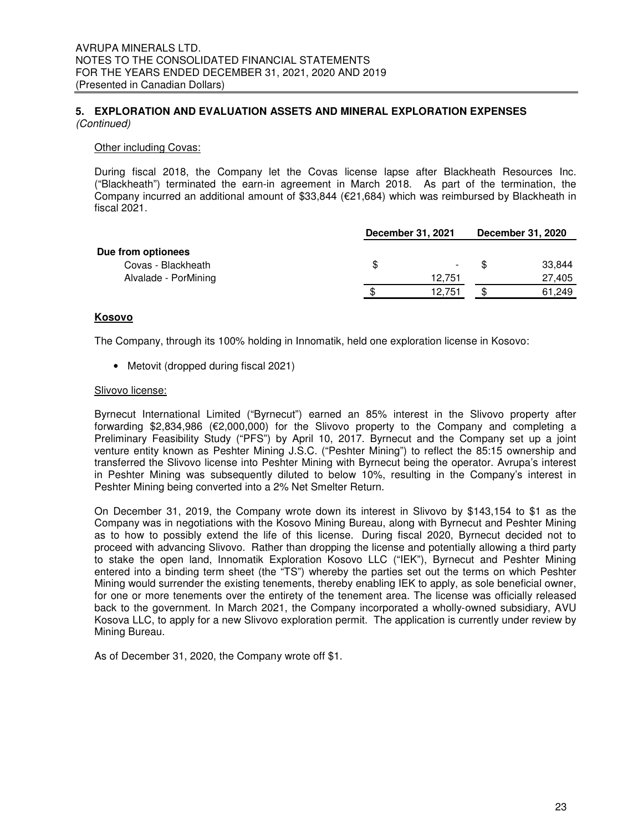#### Other including Covas:

During fiscal 2018, the Company let the Covas license lapse after Blackheath Resources Inc. ("Blackheath") terminated the earn-in agreement in March 2018. As part of the termination, the Company incurred an additional amount of \$33,844 (€21,684) which was reimbursed by Blackheath in fiscal 2021.

|                      |   | December 31, 2021 |    | December 31, 2020 |
|----------------------|---|-------------------|----|-------------------|
| Due from optionees   |   |                   |    |                   |
| Covas - Blackheath   | S | -                 | ß. | 33,844            |
| Alvalade - PorMining |   | 12.751            |    | 27.405            |
|                      |   | 12.751            | \$ | 61.249            |

#### **Kosovo**

The Company, through its 100% holding in Innomatik, held one exploration license in Kosovo:

• Metovit (dropped during fiscal 2021)

#### Slivovo license:

Byrnecut International Limited ("Byrnecut") earned an 85% interest in the Slivovo property after forwarding \$2,834,986 (€2,000,000) for the Slivovo property to the Company and completing a Preliminary Feasibility Study ("PFS") by April 10, 2017. Byrnecut and the Company set up a joint venture entity known as Peshter Mining J.S.C. ("Peshter Mining") to reflect the 85:15 ownership and transferred the Slivovo license into Peshter Mining with Byrnecut being the operator. Avrupa's interest in Peshter Mining was subsequently diluted to below 10%, resulting in the Company's interest in Peshter Mining being converted into a 2% Net Smelter Return.

On December 31, 2019, the Company wrote down its interest in Slivovo by \$143,154 to \$1 as the Company was in negotiations with the Kosovo Mining Bureau, along with Byrnecut and Peshter Mining as to how to possibly extend the life of this license. During fiscal 2020, Byrnecut decided not to proceed with advancing Slivovo. Rather than dropping the license and potentially allowing a third party to stake the open land, Innomatik Exploration Kosovo LLC ("IEK"), Byrnecut and Peshter Mining entered into a binding term sheet (the "TS") whereby the parties set out the terms on which Peshter Mining would surrender the existing tenements, thereby enabling IEK to apply, as sole beneficial owner, for one or more tenements over the entirety of the tenement area. The license was officially released back to the government. In March 2021, the Company incorporated a wholly-owned subsidiary, AVU Kosova LLC, to apply for a new Slivovo exploration permit. The application is currently under review by Mining Bureau.

As of December 31, 2020, the Company wrote off \$1.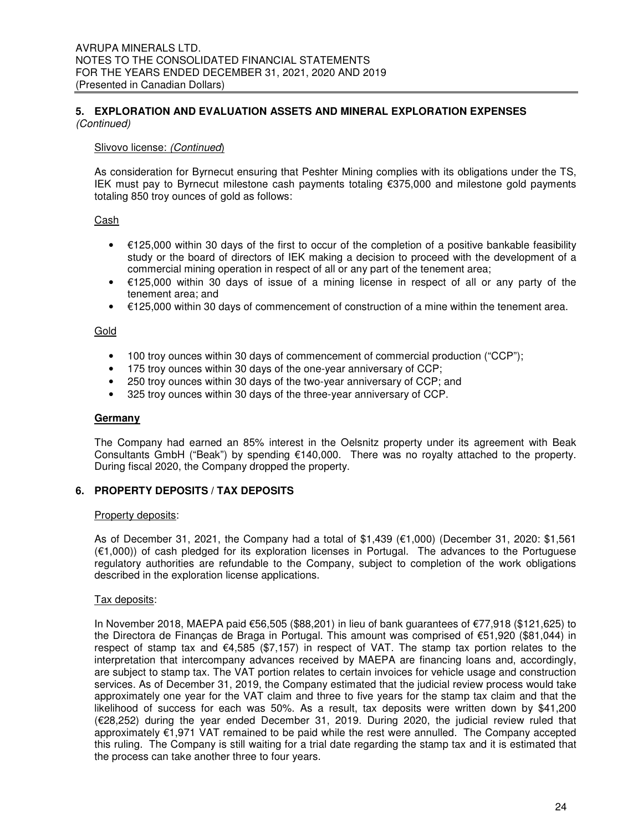#### Slivovo license: (Continued)

As consideration for Byrnecut ensuring that Peshter Mining complies with its obligations under the TS, IEK must pay to Byrnecut milestone cash payments totaling €375,000 and milestone gold payments totaling 850 troy ounces of gold as follows:

#### **Cash**

- €125,000 within 30 days of the first to occur of the completion of a positive bankable feasibility study or the board of directors of IEK making a decision to proceed with the development of a commercial mining operation in respect of all or any part of the tenement area;
- €125,000 within 30 days of issue of a mining license in respect of all or any party of the tenement area; and
- €125,000 within 30 days of commencement of construction of a mine within the tenement area.

#### Gold

- 100 troy ounces within 30 days of commencement of commercial production ("CCP");
- 175 troy ounces within 30 days of the one-year anniversary of CCP;
- 250 troy ounces within 30 days of the two-year anniversary of CCP; and
- 325 troy ounces within 30 days of the three-year anniversary of CCP.

#### **Germany**

The Company had earned an 85% interest in the Oelsnitz property under its agreement with Beak Consultants GmbH ("Beak") by spending €140,000. There was no royalty attached to the property. During fiscal 2020, the Company dropped the property.

#### **6. PROPERTY DEPOSITS / TAX DEPOSITS**

#### Property deposits:

As of December 31, 2021, the Company had a total of \$1,439 (€1,000) (December 31, 2020: \$1,561 (€1,000)) of cash pledged for its exploration licenses in Portugal. The advances to the Portuguese regulatory authorities are refundable to the Company, subject to completion of the work obligations described in the exploration license applications.

#### Tax deposits:

In November 2018, MAEPA paid €56,505 (\$88,201) in lieu of bank guarantees of €77,918 (\$121,625) to the Directora de Finanças de Braga in Portugal. This amount was comprised of €51,920 (\$81,044) in respect of stamp tax and  $\epsilon$ 4,585 (\$7,157) in respect of VAT. The stamp tax portion relates to the interpretation that intercompany advances received by MAEPA are financing loans and, accordingly, are subject to stamp tax. The VAT portion relates to certain invoices for vehicle usage and construction services. As of December 31, 2019, the Company estimated that the judicial review process would take approximately one year for the VAT claim and three to five years for the stamp tax claim and that the likelihood of success for each was 50%. As a result, tax deposits were written down by \$41,200 (€28,252) during the year ended December 31, 2019. During 2020, the judicial review ruled that approximately €1,971 VAT remained to be paid while the rest were annulled. The Company accepted this ruling. The Company is still waiting for a trial date regarding the stamp tax and it is estimated that the process can take another three to four years.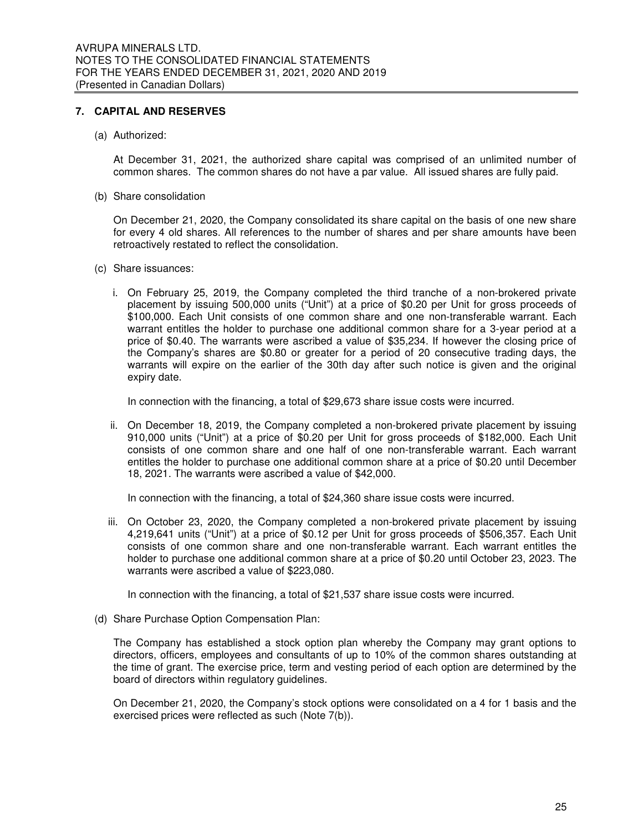#### **7. CAPITAL AND RESERVES**

(a) Authorized:

At December 31, 2021, the authorized share capital was comprised of an unlimited number of common shares. The common shares do not have a par value. All issued shares are fully paid.

(b) Share consolidation

On December 21, 2020, the Company consolidated its share capital on the basis of one new share for every 4 old shares. All references to the number of shares and per share amounts have been retroactively restated to reflect the consolidation.

- (c) Share issuances:
	- i. On February 25, 2019, the Company completed the third tranche of a non-brokered private placement by issuing 500,000 units ("Unit") at a price of \$0.20 per Unit for gross proceeds of \$100,000. Each Unit consists of one common share and one non-transferable warrant. Each warrant entitles the holder to purchase one additional common share for a 3-year period at a price of \$0.40. The warrants were ascribed a value of \$35,234. If however the closing price of the Company's shares are \$0.80 or greater for a period of 20 consecutive trading days, the warrants will expire on the earlier of the 30th day after such notice is given and the original expiry date.

In connection with the financing, a total of \$29,673 share issue costs were incurred.

ii. On December 18, 2019, the Company completed a non-brokered private placement by issuing 910,000 units ("Unit") at a price of \$0.20 per Unit for gross proceeds of \$182,000. Each Unit consists of one common share and one half of one non-transferable warrant. Each warrant entitles the holder to purchase one additional common share at a price of \$0.20 until December 18, 2021. The warrants were ascribed a value of \$42,000.

In connection with the financing, a total of \$24,360 share issue costs were incurred.

iii. On October 23, 2020, the Company completed a non-brokered private placement by issuing 4,219,641 units ("Unit") at a price of \$0.12 per Unit for gross proceeds of \$506,357. Each Unit consists of one common share and one non-transferable warrant. Each warrant entitles the holder to purchase one additional common share at a price of \$0.20 until October 23, 2023. The warrants were ascribed a value of \$223,080.

In connection with the financing, a total of \$21,537 share issue costs were incurred.

(d) Share Purchase Option Compensation Plan:

The Company has established a stock option plan whereby the Company may grant options to directors, officers, employees and consultants of up to 10% of the common shares outstanding at the time of grant. The exercise price, term and vesting period of each option are determined by the board of directors within regulatory guidelines.

On December 21, 2020, the Company's stock options were consolidated on a 4 for 1 basis and the exercised prices were reflected as such (Note 7(b)).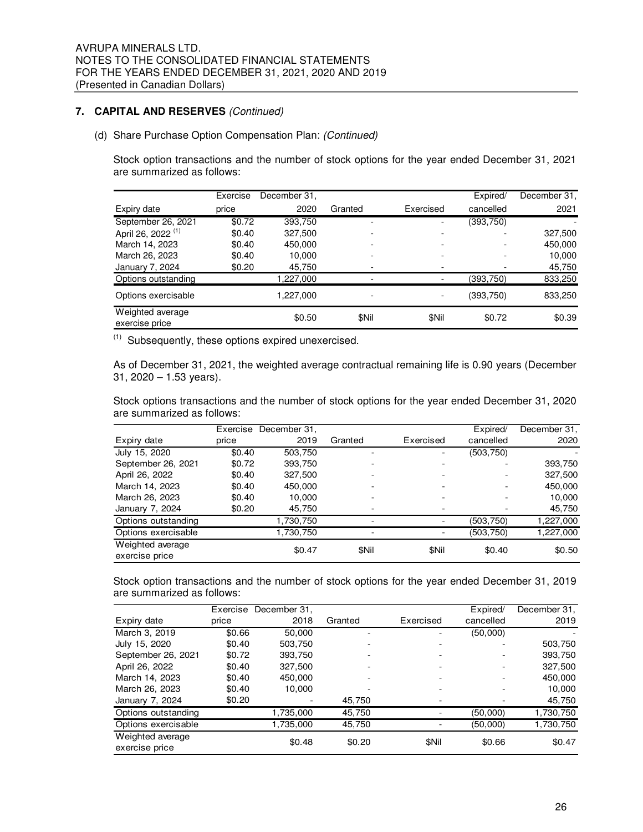#### **7. CAPITAL AND RESERVES** (Continued)

#### (d) Share Purchase Option Compensation Plan: (Continued)

Stock option transactions and the number of stock options for the year ended December 31, 2021 are summarized as follows:

|                                    | Exercise | December 31. |         |           | Expired/  | December 31, |
|------------------------------------|----------|--------------|---------|-----------|-----------|--------------|
| Expiry date                        | price    | 2020         | Granted | Exercised | cancelled | 2021         |
| September 26, 2021                 | \$0.72   | 393,750      |         |           | (393,750) |              |
| April 26, 2022 <sup>(1)</sup>      | \$0.40   | 327,500      |         |           |           | 327,500      |
| March 14, 2023                     | \$0.40   | 450.000      |         |           |           | 450,000      |
| March 26, 2023                     | \$0.40   | 10,000       |         |           |           | 10,000       |
| January 7, 2024                    | \$0.20   | 45,750       |         |           |           | 45,750       |
| Options outstanding                |          | 1,227,000    |         |           | (393,750) | 833,250      |
| Options exercisable                |          | 1.227.000    |         |           | (393,750) | 833,250      |
| Weighted average<br>exercise price |          | \$0.50       | \$Nil   | \$Nil     | \$0.72    | \$0.39       |

 $(1)$  Subsequently, these options expired unexercised.

As of December 31, 2021, the weighted average contractual remaining life is 0.90 years (December 31, 2020 – 1.53 years).

Stock options transactions and the number of stock options for the year ended December 31, 2020 are summarized as follows:

|                                    | Exercise | December 31, |         |           | Expired/   | December 31, |
|------------------------------------|----------|--------------|---------|-----------|------------|--------------|
| Expiry date                        | price    | 2019         | Granted | Exercised | cancelled  | 2020         |
| July 15, 2020                      | \$0.40   | 503,750      |         |           | (503, 750) |              |
| September 26, 2021                 | \$0.72   | 393.750      |         |           |            | 393,750      |
| April 26, 2022                     | \$0.40   | 327,500      |         |           |            | 327,500      |
| March 14, 2023                     | \$0.40   | 450,000      |         |           |            | 450,000      |
| March 26, 2023                     | \$0.40   | 10,000       |         |           |            | 10,000       |
| January 7, 2024                    | \$0.20   | 45,750       |         |           |            | 45,750       |
| Options outstanding                |          | 1,730,750    |         |           | (503, 750) | 1,227,000    |
| Options exercisable                |          | 1,730,750    |         |           | (503,750)  | 1,227,000    |
| Weighted average<br>exercise price |          | \$0.47       | \$Nil   | \$Nil     | \$0.40     | \$0.50       |

Stock option transactions and the number of stock options for the year ended December 31, 2019 are summarized as follows:

|                                    | Exercise | December 31, |         |           | Expired/  | December 31. |
|------------------------------------|----------|--------------|---------|-----------|-----------|--------------|
| Expiry date                        | price    | 2018         | Granted | Exercised | cancelled | 2019         |
| March 3, 2019                      | \$0.66   | 50.000       |         |           | (50,000)  |              |
| July 15, 2020                      | \$0.40   | 503.750      |         |           |           | 503,750      |
| September 26, 2021                 | \$0.72   | 393,750      |         |           |           | 393,750      |
| April 26, 2022                     | \$0.40   | 327.500      |         |           |           | 327,500      |
| March 14, 2023                     | \$0.40   | 450,000      |         |           |           | 450,000      |
| March 26, 2023                     | \$0.40   | 10.000       |         |           |           | 10,000       |
| January 7, 2024                    | \$0.20   |              | 45.750  |           |           | 45,750       |
| Options outstanding                |          | 1,735,000    | 45.750  |           | (50,000)  | 1,730,750    |
| Options exercisable                |          | 1,735,000    | 45.750  |           | (50,000)  | 1,730,750    |
| Weighted average<br>exercise price |          | \$0.48       | \$0.20  | \$Nil     | \$0.66    | \$0.47       |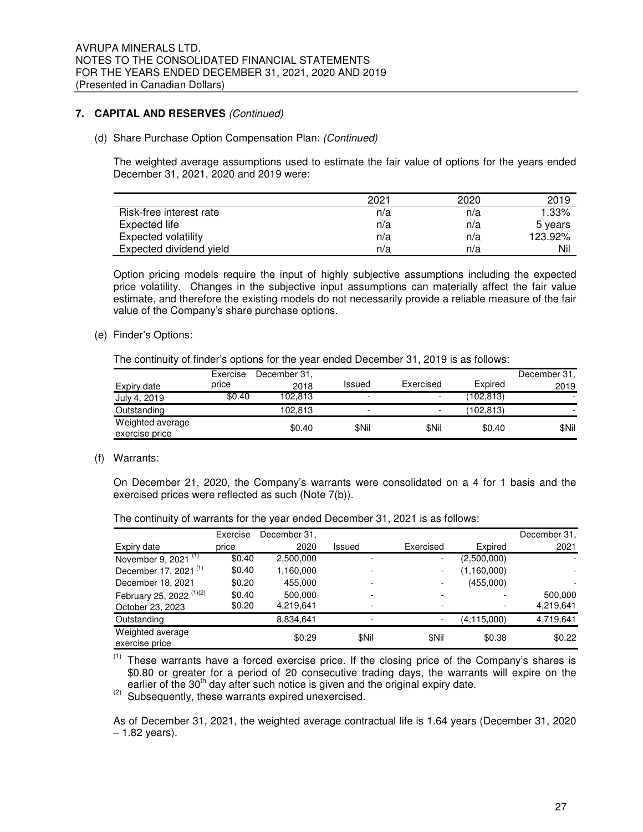#### **7. CAPITAL AND RESERVES** (Continued)

(d) Share Purchase Option Compensation Plan: (Continued)

The weighted average assumptions used to estimate the fair value of options for the years ended December 31, 2021, 2020 and 2019 were:

|                         | 2021 | 2020 | 2019    |
|-------------------------|------|------|---------|
| Risk-free interest rate | n/a  | n/a  | 1.33%   |
| Expected life           | n/a  | n/a  | 5 years |
| Expected volatility     | n/a  | n/a  | 123.92% |
| Expected dividend yield | n/a  | n/a  | Nil     |

Option pricing models require the input of highly subjective assumptions including the expected price volatility. Changes in the subjective input assumptions can materially affect the fair value estimate, and therefore the existing models do not necessarily provide a reliable measure of the fair value of the Company's share purchase options.

(e) Finder's Options:

The continuity of finder's options for the year ended December 31, 2019 is as follows:

|                                    | Exercise | December 31, |                          |                          |           | December 31. |
|------------------------------------|----------|--------------|--------------------------|--------------------------|-----------|--------------|
| Expiry date                        | price    | 2018         | Issued                   | Exercised                | Expired   | 2019         |
| July 4, 2019                       | \$0.40   | 102.813      | $\overline{\phantom{0}}$ | $\overline{\phantom{a}}$ | (102.813) |              |
| Outstanding                        |          | 102.813      | $\overline{\phantom{0}}$ |                          | (102.813) |              |
| Weighted average<br>exercise price |          | \$0.40       | \$Nil                    | \$Nil                    | \$0.40    | \$Nil        |

(f) Warrants:

On December 21, 2020, the Company's warrants were consolidated on a 4 for 1 basis and the exercised prices were reflected as such (Note 7(b)).

| The continuity of warrants for the year ended December 31, 2021 is as follows: |
|--------------------------------------------------------------------------------|
|--------------------------------------------------------------------------------|

|                                     | Exercise | December 31, |                          |                          |             | December 31, |
|-------------------------------------|----------|--------------|--------------------------|--------------------------|-------------|--------------|
| Expiry date                         | price    | 2020         | Issued                   | Exercised                | Expired     | 2021         |
| November 9, 2021 $\frac{(1)}{(1)}$  | \$0.40   | 2,500,000    |                          | $\overline{\phantom{0}}$ | (2,500,000) |              |
| December 17, 2021 <sup>(1)</sup>    | \$0.40   | 1,160,000    |                          |                          | (1,160,000) |              |
| December 18, 2021                   | \$0.20   | 455.000      | $\overline{\phantom{a}}$ |                          | (455,000)   |              |
| February 25, 2022 <sup>(1)(2)</sup> | \$0.40   | 500.000      |                          |                          |             | 500,000      |
| October 23, 2023                    | \$0.20   | 4,219,641    |                          |                          |             | 4,219,641    |
| Outstanding                         |          | 8,834,641    | $\overline{\phantom{a}}$ |                          | (4,115,000) | 4,719,641    |
| Weighted average<br>exercise price  |          | \$0.29       | \$Nil                    | \$Nil                    | \$0.38      | \$0.22       |

 $<sup>(1)</sup>$  These warrants have a forced exercise price. If the closing price of the Company's shares is</sup> \$0.80 or greater for a period of 20 consecutive trading days, the warrants will expire on the earlier of the  $30<sup>th</sup>$  day after such notice is given and the original expiry date.

(2) Subsequently, these warrants expired unexercised.

As of December 31, 2021, the weighted average contractual life is 1.64 years (December 31, 2020 – 1.82 years).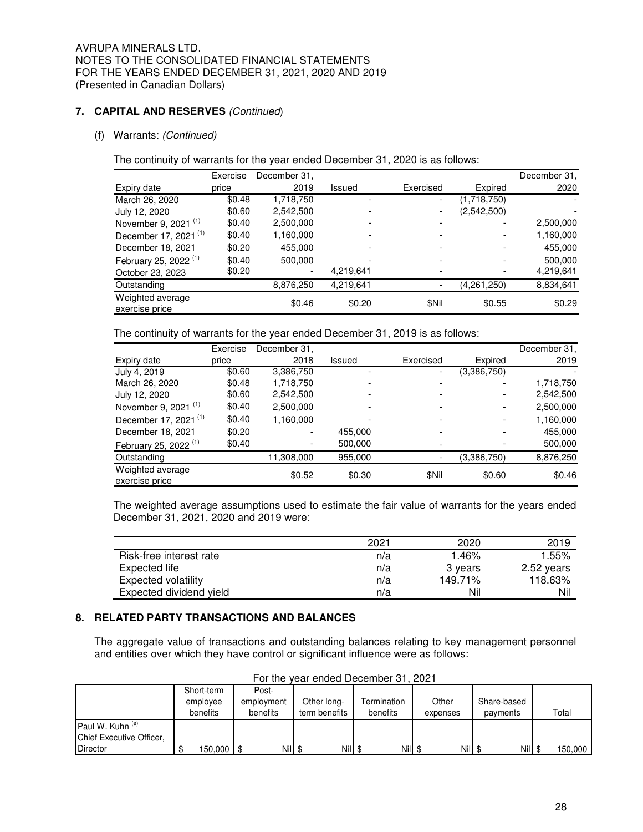#### **7. CAPITAL AND RESERVES** (Continued)

#### (f) Warrants: (Continued)

The continuity of warrants for the year ended December 31, 2020 is as follows:

|                                    | Exercise | December 31, |           |                          |             | December 31, |
|------------------------------------|----------|--------------|-----------|--------------------------|-------------|--------------|
| Expiry date                        | price    | 2019         | Issued    | Exercised                | Expired     | 2020         |
| March 26, 2020                     | \$0.48   | 1,718,750    |           | $\overline{a}$           | (1,718,750) |              |
| July 12, 2020                      | \$0.60   | 2,542,500    |           | $\overline{\phantom{a}}$ | (2,542,500) |              |
| November 9, 2021 <sup>(1)</sup>    | \$0.40   | 2,500,000    |           | $\blacksquare$           |             | 2,500,000    |
| December 17, 2021 <sup>(1)</sup>   | \$0.40   | 1,160,000    |           |                          |             | 1,160,000    |
| December 18, 2021                  | \$0.20   | 455.000      |           |                          |             | 455,000      |
| February 25, 2022 <sup>(1)</sup>   | \$0.40   | 500.000      |           |                          |             | 500,000      |
| October 23, 2023                   | \$0.20   |              | 4,219,641 |                          |             | 4,219,641    |
| Outstanding                        |          | 8,876,250    | 4,219,641 |                          | (4,261,250) | 8,834,641    |
| Weighted average<br>exercise price |          | \$0.46       | \$0.20    | \$Nil                    | \$0.55      | \$0.29       |

The continuity of warrants for the year ended December 31, 2019 is as follows:

|                                    | Exercise | December 31, |         |                          |             | December 31, |
|------------------------------------|----------|--------------|---------|--------------------------|-------------|--------------|
| Expiry date                        | price    | 2018         | Issued  | Exercised                | Expired     | 2019         |
| July 4, 2019                       | \$0.60   | 3,386,750    |         | $\overline{\phantom{0}}$ | (3,386,750) |              |
| March 26, 2020                     | \$0.48   | 1,718,750    |         |                          |             | 1,718,750    |
| July 12, 2020                      | \$0.60   | 2,542,500    |         |                          |             | 2,542,500    |
| November 9, 2021 <sup>(1)</sup>    | \$0.40   | 2,500,000    |         |                          |             | 2,500,000    |
| December 17, 2021 <sup>(1)</sup>   | \$0.40   | 1,160,000    |         |                          |             | 1,160,000    |
| December 18, 2021                  | \$0.20   |              | 455.000 |                          |             | 455.000      |
| February 25, 2022 <sup>(1)</sup>   | \$0.40   |              | 500,000 |                          |             | 500,000      |
| Outstanding                        |          | 11,308,000   | 955,000 |                          | (3,386,750) | 8,876,250    |
| Weighted average<br>exercise price |          | \$0.52       | \$0.30  | \$Nil                    | \$0.60      | \$0.46       |

The weighted average assumptions used to estimate the fair value of warrants for the years ended December 31, 2021, 2020 and 2019 were:

|                            | 2021 | 2020    | 2019       |
|----------------------------|------|---------|------------|
| Risk-free interest rate    | n/a  | 1.46%   | 1.55%      |
| Expected life              | n/a  | 3 years | 2.52 years |
| <b>Expected volatility</b> | n/a  | 149.71% | 118.63%    |
| Expected dividend yield    | n/a  | Nil     | Nil        |

#### **8. RELATED PARTY TRANSACTIONS AND BALANCES**

The aggregate value of transactions and outstanding balances relating to key management personnel and entities over which they have control or significant influence were as follows:

|                                                                            |                                    | .                               |                              |                         |                   |                         |         |
|----------------------------------------------------------------------------|------------------------------------|---------------------------------|------------------------------|-------------------------|-------------------|-------------------------|---------|
|                                                                            | Short-term<br>employee<br>benefits | Post-<br>employment<br>benefits | Other long-<br>term benefits | Termination<br>benefits | Other<br>expenses | Share-based<br>payments | Total   |
| Paul W. Kuhn <sup>(e)</sup><br>Chief Executive Officer,<br><b>Director</b> | 150,000                            | Nill \$<br>-\$                  | Nill <sub>\$</sub>           | Nil                     | Nil               | Nil                     | 150.000 |

For the year ended December 31, 2021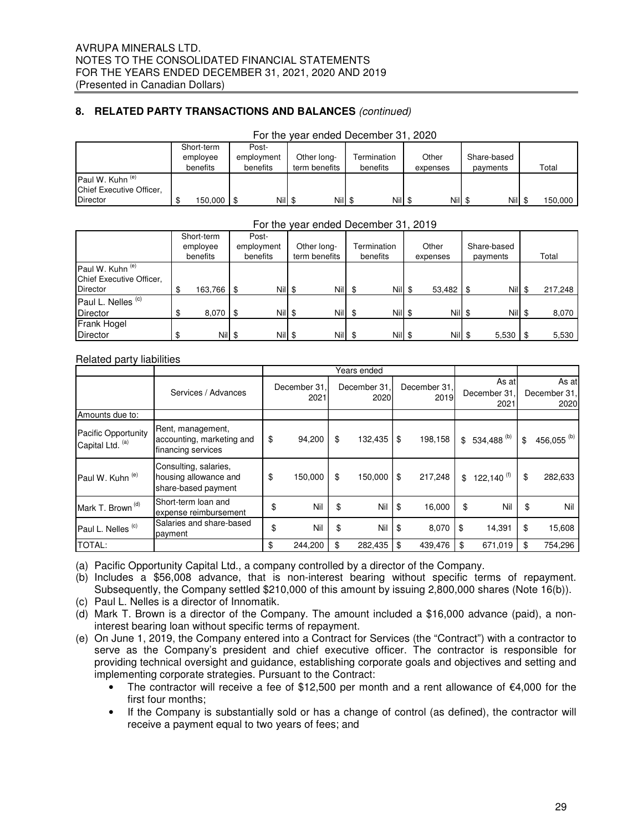#### **8. RELATED PARTY TRANSACTIONS AND BALANCES** (continued)

| For the year ended December 31, 2020 |  |            |            |                    |               |         |  |             |  |          |  |             |  |         |
|--------------------------------------|--|------------|------------|--------------------|---------------|---------|--|-------------|--|----------|--|-------------|--|---------|
|                                      |  | Short-term | Post-      |                    |               |         |  |             |  |          |  |             |  |         |
|                                      |  | employee   | employment |                    | Other long-   |         |  | Termination |  | Other    |  | Share-based |  |         |
|                                      |  | benefits   | benefits   |                    | term benefits |         |  | benefits    |  | expenses |  | payments    |  | Total   |
| Paul W. Kuhn <sup>(e)</sup>          |  |            |            |                    |               |         |  |             |  |          |  |             |  |         |
| Chief Executive Officer,             |  |            |            |                    |               |         |  |             |  |          |  |             |  |         |
| <b>Director</b>                      |  | 150,000 \$ |            | Nill <sup>\$</sup> |               | Nill \$ |  | Nill \$     |  | Nill \$  |  | Nill \$     |  | 150,000 |

### For the year ended December 31, 2019

|                                                         | Short-term<br>employee<br>benefits |             | Post-<br>employment<br>benefits |        | Other long-<br>term benefits |            | <b>Termination</b><br>benefits |         | Other<br>expenses |        | Share-based<br>payments |        | Total |         |
|---------------------------------------------------------|------------------------------------|-------------|---------------------------------|--------|------------------------------|------------|--------------------------------|---------|-------------------|--------|-------------------------|--------|-------|---------|
| Paul W. Kuhn <sup>(e)</sup><br>Chief Executive Officer, |                                    |             |                                 |        |                              |            |                                |         |                   |        |                         |        |       |         |
| <b>Director</b>                                         | Φ                                  | 163,766 \$  |                                 | Nil \$ |                              | Nill       | \$                             | Nill \$ |                   | 53,482 |                         | Nill   |       | 217,248 |
| Paul L. Nelles <sup>(c)</sup>                           |                                    |             |                                 |        |                              |            |                                |         |                   |        |                         |        |       |         |
| <b>Director</b>                                         |                                    | $8,070$ \\$ |                                 | Nil \$ |                              | Nil        | \$                             | Nil \$  |                   | Nil \$ |                         | Nil \$ |       | 8,070   |
| Frank Hogel                                             |                                    |             |                                 |        |                              |            |                                |         |                   |        |                         |        |       |         |
| <b>Director</b>                                         |                                    | Nil \$      |                                 | Nil \$ |                              | <b>Nil</b> | \$                             | Nil \$  |                   | Nil \$ |                         | 5,530  |       | 5,530   |

#### Related party liabilities

|                                                |                                                                       |                      | Years ended |                      |               |        |                              |     |                               |
|------------------------------------------------|-----------------------------------------------------------------------|----------------------|-------------|----------------------|---------------|--------|------------------------------|-----|-------------------------------|
|                                                | Services / Advances                                                   | December 31.<br>2021 |             | December 31.<br>2020 | December 31.  | 2019   | As at<br>December 31<br>2021 |     | As at<br>December 31.<br>2020 |
| Amounts due to:                                |                                                                       |                      |             |                      |               |        |                              |     |                               |
| <b>Pacific Opportunity</b><br>Capital Ltd. (a) | Rent, management,<br>accounting, marketing and<br>financing services  | \$<br>94,200         | \$          | 132,435              | 198,158<br>\$ |        | \$<br>534,488 <sup>(b)</sup> | \$  | 456,055 <sup>(b)</sup>        |
| Paul W. Kuhn <sup>(e)</sup>                    | Consulting, salaries,<br>housing allowance and<br>share-based payment | \$<br>150.000        | \$          | 150,000              | 217,248<br>\$ |        | \$<br>122,140 <sup>(f)</sup> | \$  | 282,633                       |
| Mark T. Brown <sup>(d)</sup>                   | Short-term loan and<br>expense reimbursement                          | \$<br>Nil            | \$          | Nil                  | \$            | 16,000 | \$<br>Nil                    | \$  | Nil                           |
| Paul L. Nelles <sup>(c)</sup>                  | Salaries and share-based<br>payment                                   | \$<br>Nil            | \$          | Nil                  | \$            | 8,070  | \$<br>14,391                 | \$  | 15,608                        |
| <b>TOTAL:</b>                                  |                                                                       | \$<br>244,200        |             | 282,435              | \$<br>439,476 |        | \$<br>671,019                | \$. | 754,296                       |

(a) Pacific Opportunity Capital Ltd., a company controlled by a director of the Company.

(b) Includes a \$56,008 advance, that is non-interest bearing without specific terms of repayment. Subsequently, the Company settled \$210,000 of this amount by issuing 2,800,000 shares (Note 16(b)).

- (c) Paul L. Nelles is a director of Innomatik.
- (d) Mark T. Brown is a director of the Company. The amount included a \$16,000 advance (paid), a noninterest bearing loan without specific terms of repayment.
- (e) On June 1, 2019, the Company entered into a Contract for Services (the "Contract") with a contractor to serve as the Company's president and chief executive officer. The contractor is responsible for providing technical oversight and guidance, establishing corporate goals and objectives and setting and implementing corporate strategies. Pursuant to the Contract:
	- The contractor will receive a fee of \$12,500 per month and a rent allowance of  $\epsilon$ 4,000 for the first four months;
	- If the Company is substantially sold or has a change of control (as defined), the contractor will receive a payment equal to two years of fees; and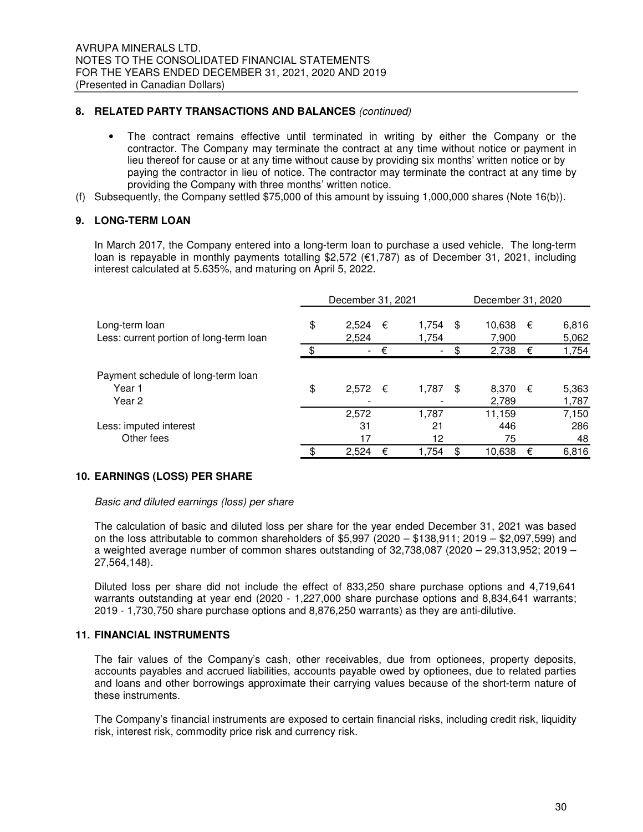#### **8. RELATED PARTY TRANSACTIONS AND BALANCES** (continued)

- The contract remains effective until terminated in writing by either the Company or the contractor. The Company may terminate the contract at any time without notice or payment in lieu thereof for cause or at any time without cause by providing six months' written notice or by paying the contractor in lieu of notice. The contractor may terminate the contract at any time by providing the Company with three months' written notice.
- (f) Subsequently, the Company settled \$75,000 of this amount by issuing 1,000,000 shares (Note 16(b)).

#### **9. LONG-TERM LOAN**

In March 2017, the Company entered into a long-term loan to purchase a used vehicle. The long-term loan is repayable in monthly payments totalling \$2,572 (€1,787) as of December 31, 2021, including interest calculated at 5.635%, and maturing on April 5, 2022.

|                                                           | December 31, 2021 |                          |   |                | December 31, 2020 |                 |   |                |
|-----------------------------------------------------------|-------------------|--------------------------|---|----------------|-------------------|-----------------|---|----------------|
| Long-term loan<br>Less: current portion of long-term loan | \$                | 2,524<br>2,524           | € | 1.754<br>1,754 | \$                | 10,638<br>7.900 | € | 6,816<br>5,062 |
|                                                           | \$                | $\overline{\phantom{0}}$ | € | $\blacksquare$ | \$                | 2,738           | € | 1,754          |
| Payment schedule of long-term loan<br>Year 1<br>Year 2    | \$                | 2,572                    | € | 1,787          | \$                | 8,370<br>2,789  | € | 5,363<br>1,787 |
|                                                           |                   | 2,572                    |   | 1,787          |                   | 11.159          |   | 7,150          |
| Less: imputed interest<br>Other fees                      |                   | 31<br>17                 |   | 21<br>12       |                   | 446<br>75       |   | 286<br>48      |
|                                                           |                   | 2,524                    | € | 1,754          |                   | 10,638          | € | 6,816          |

#### **10. EARNINGS (LOSS) PER SHARE**

#### Basic and diluted earnings (loss) per share

The calculation of basic and diluted loss per share for the year ended December 31, 2021 was based on the loss attributable to common shareholders of \$5,997 (2020 – \$138,911; 2019 – \$2,097,599) and a weighted average number of common shares outstanding of  $32,738,087$  (2020 – 29,313,952; 2019 – 27,564,148).

Diluted loss per share did not include the effect of 833,250 share purchase options and 4,719,641 warrants outstanding at year end (2020 - 1,227,000 share purchase options and 8,834,641 warrants; 2019 - 1,730,750 share purchase options and 8,876,250 warrants) as they are anti-dilutive.

#### **11. FINANCIAL INSTRUMENTS**

The fair values of the Company's cash, other receivables, due from optionees, property deposits, accounts payables and accrued liabilities, accounts payable owed by optionees, due to related parties and loans and other borrowings approximate their carrying values because of the short-term nature of these instruments.

The Company's financial instruments are exposed to certain financial risks, including credit risk, liquidity risk, interest risk, commodity price risk and currency risk.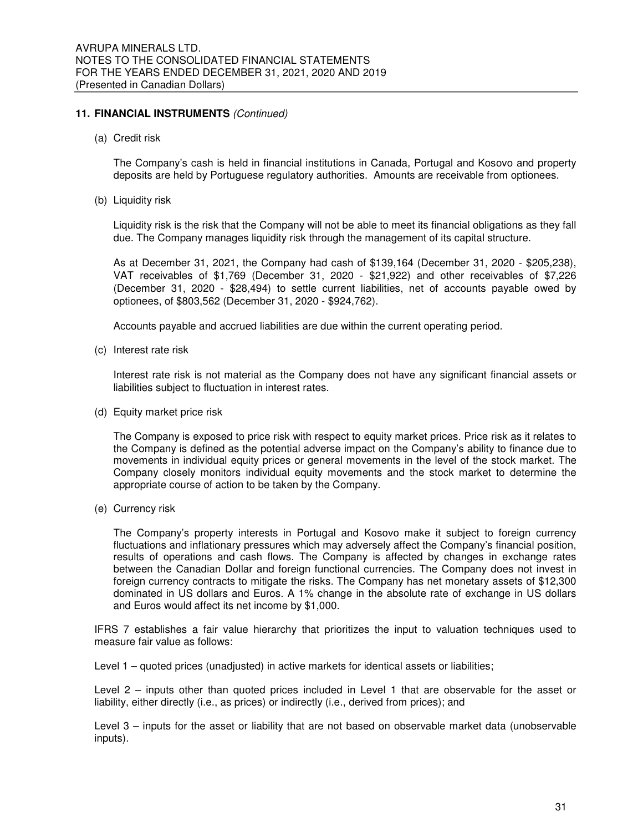#### **11. FINANCIAL INSTRUMENTS** (Continued)

(a) Credit risk

The Company's cash is held in financial institutions in Canada, Portugal and Kosovo and property deposits are held by Portuguese regulatory authorities. Amounts are receivable from optionees.

(b) Liquidity risk

Liquidity risk is the risk that the Company will not be able to meet its financial obligations as they fall due. The Company manages liquidity risk through the management of its capital structure.

As at December 31, 2021, the Company had cash of \$139,164 (December 31, 2020 - \$205,238), VAT receivables of \$1,769 (December 31, 2020 - \$21,922) and other receivables of \$7,226 (December 31, 2020 - \$28,494) to settle current liabilities, net of accounts payable owed by optionees, of \$803,562 (December 31, 2020 - \$924,762).

Accounts payable and accrued liabilities are due within the current operating period.

(c) Interest rate risk

Interest rate risk is not material as the Company does not have any significant financial assets or liabilities subject to fluctuation in interest rates.

(d) Equity market price risk

The Company is exposed to price risk with respect to equity market prices. Price risk as it relates to the Company is defined as the potential adverse impact on the Company's ability to finance due to movements in individual equity prices or general movements in the level of the stock market. The Company closely monitors individual equity movements and the stock market to determine the appropriate course of action to be taken by the Company.

(e) Currency risk

The Company's property interests in Portugal and Kosovo make it subject to foreign currency fluctuations and inflationary pressures which may adversely affect the Company's financial position, results of operations and cash flows. The Company is affected by changes in exchange rates between the Canadian Dollar and foreign functional currencies. The Company does not invest in foreign currency contracts to mitigate the risks. The Company has net monetary assets of \$12,300 dominated in US dollars and Euros. A 1% change in the absolute rate of exchange in US dollars and Euros would affect its net income by \$1,000.

IFRS 7 establishes a fair value hierarchy that prioritizes the input to valuation techniques used to measure fair value as follows:

Level 1 – quoted prices (unadjusted) in active markets for identical assets or liabilities;

Level 2 – inputs other than quoted prices included in Level 1 that are observable for the asset or liability, either directly (i.e., as prices) or indirectly (i.e., derived from prices); and

Level 3 – inputs for the asset or liability that are not based on observable market data (unobservable inputs).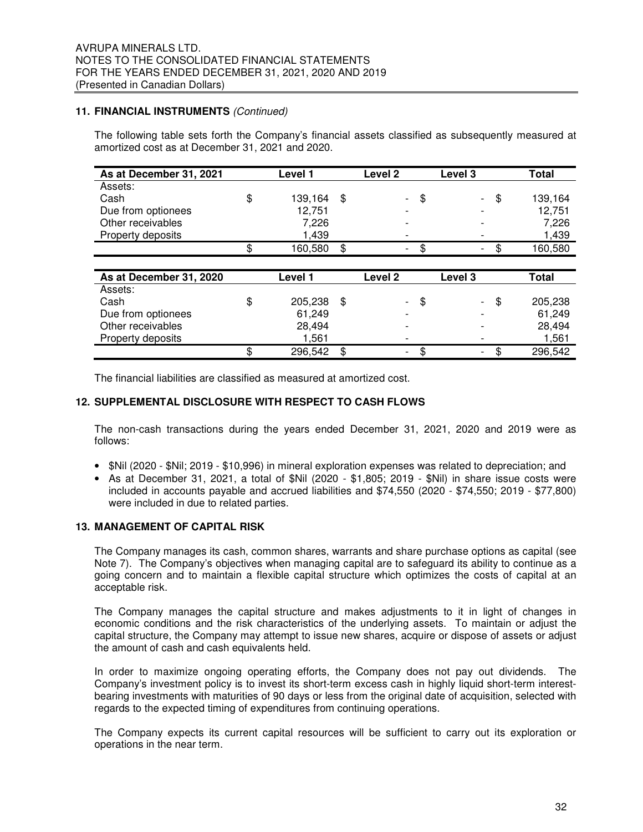#### **11. FINANCIAL INSTRUMENTS** (Continued)

The following table sets forth the Company's financial assets classified as subsequently measured at amortized cost as at December 31, 2021 and 2020.

| As at December 31, 2021 | Level 1       | Level <sub>2</sub>                   | Level <sub>3</sub> | <b>Total</b> |
|-------------------------|---------------|--------------------------------------|--------------------|--------------|
| Assets:                 |               |                                      |                    |              |
| Cash                    | \$<br>139,164 | \$<br>\$<br>$\overline{\phantom{0}}$ | \$                 | 139,164      |
| Due from optionees      | 12,751        |                                      |                    | 12,751       |
| Other receivables       | 7,226         | $\overline{\phantom{a}}$             |                    | 7,226        |
| Property deposits       | 1,439         |                                      |                    | 1,439        |
|                         | \$<br>160,580 | \$<br>\$                             | \$                 | 160,580      |
|                         |               |                                      |                    |              |
| As at December 31, 2020 | Level 1       | Level <sub>2</sub>                   | Level <sub>3</sub> | <b>Total</b> |
| Assets:                 |               |                                      |                    |              |
|                         |               |                                      |                    |              |
| Cash                    | \$<br>205,238 | \$<br>\$<br>$\sim$                   | \$                 | 205,238      |
| Due from optionees      | 61,249        | $\overline{\phantom{0}}$             |                    | 61,249       |
| Other receivables       | 28,494        |                                      |                    | 28,494       |
| Property deposits       | 1,561         |                                      |                    | 1,561        |

The financial liabilities are classified as measured at amortized cost.

#### **12. SUPPLEMENTAL DISCLOSURE WITH RESPECT TO CASH FLOWS**

The non-cash transactions during the years ended December 31, 2021, 2020 and 2019 were as follows:

- \$Nil (2020 \$Nil; 2019 \$10,996) in mineral exploration expenses was related to depreciation; and
- As at December 31, 2021, a total of \$Nil (2020 \$1,805; 2019 \$Nil) in share issue costs were included in accounts payable and accrued liabilities and \$74,550 (2020 - \$74,550; 2019 - \$77,800) were included in due to related parties.

#### **13. MANAGEMENT OF CAPITAL RISK**

The Company manages its cash, common shares, warrants and share purchase options as capital (see Note 7). The Company's objectives when managing capital are to safeguard its ability to continue as a going concern and to maintain a flexible capital structure which optimizes the costs of capital at an acceptable risk.

The Company manages the capital structure and makes adjustments to it in light of changes in economic conditions and the risk characteristics of the underlying assets. To maintain or adjust the capital structure, the Company may attempt to issue new shares, acquire or dispose of assets or adjust the amount of cash and cash equivalents held.

In order to maximize ongoing operating efforts, the Company does not pay out dividends. The Company's investment policy is to invest its short-term excess cash in highly liquid short-term interestbearing investments with maturities of 90 days or less from the original date of acquisition, selected with regards to the expected timing of expenditures from continuing operations.

The Company expects its current capital resources will be sufficient to carry out its exploration or operations in the near term.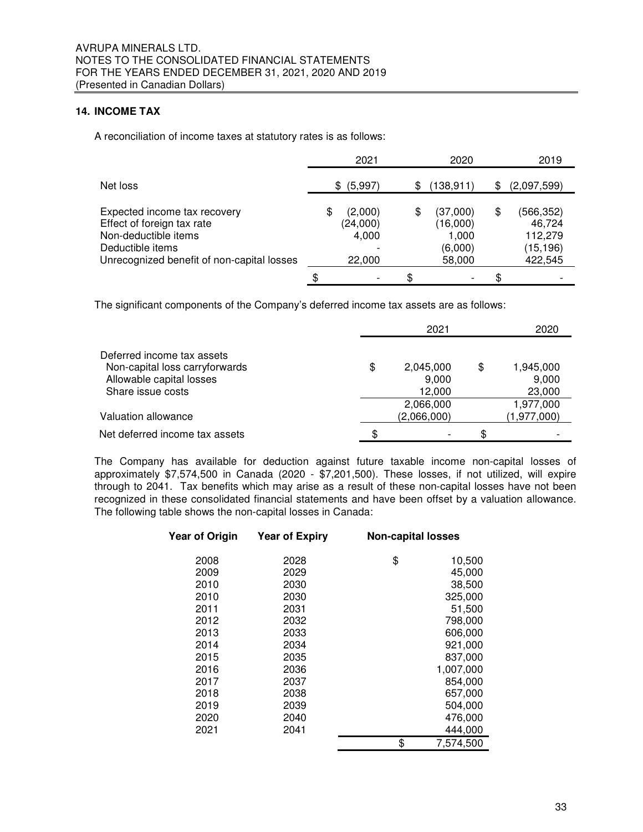#### **14. INCOME TAX**

A reconciliation of income taxes at statutory rates is as follows:

|                                                                                                                                                      | 2021                                         | 2020                                                     | 2019                                                        |
|------------------------------------------------------------------------------------------------------------------------------------------------------|----------------------------------------------|----------------------------------------------------------|-------------------------------------------------------------|
| Net loss                                                                                                                                             | \$ (5,997)                                   | (138,911)<br>\$                                          | (2,097,599)<br>\$                                           |
| Expected income tax recovery<br>Effect of foreign tax rate<br>Non-deductible items<br>Deductible items<br>Unrecognized benefit of non-capital losses | (2,000)<br>\$<br>(24,000)<br>4,000<br>22,000 | (37,000)<br>\$<br>(16,000)<br>1,000<br>(6,000)<br>58,000 | (566,352)<br>\$<br>46,724<br>112,279<br>(15,196)<br>422,545 |
|                                                                                                                                                      | \$                                           | \$                                                       |                                                             |

The significant components of the Company's deferred income tax assets are as follows:

|                                | 2021            |    | 2020        |  |
|--------------------------------|-----------------|----|-------------|--|
| Deferred income tax assets     |                 |    |             |  |
| Non-capital loss carryforwards | \$<br>2,045,000 | \$ | 1,945,000   |  |
| Allowable capital losses       | 9.000           |    | 9,000       |  |
| Share issue costs              | 12.000          |    | 23,000      |  |
|                                | 2,066,000       |    | 1,977,000   |  |
| Valuation allowance            | (2,066,000)     |    | (1,977,000) |  |
| Net deferred income tax assets |                 |    |             |  |

The Company has available for deduction against future taxable income non-capital losses of approximately \$7,574,500 in Canada (2020 - \$7,201,500). These losses, if not utilized, will expire through to 2041. Tax benefits which may arise as a result of these non-capital losses have not been recognized in these consolidated financial statements and have been offset by a valuation allowance. The following table shows the non-capital losses in Canada:

| <b>Year of Origin</b> | <b>Year of Expiry</b> | <b>Non-capital losses</b> |           |
|-----------------------|-----------------------|---------------------------|-----------|
| 2008                  | 2028                  | \$                        | 10,500    |
| 2009                  | 2029                  |                           | 45,000    |
| 2010                  | 2030                  |                           | 38,500    |
| 2010                  | 2030                  |                           | 325,000   |
| 2011                  | 2031                  |                           | 51,500    |
| 2012                  | 2032                  |                           | 798,000   |
| 2013                  | 2033                  |                           | 606,000   |
| 2014                  | 2034                  |                           | 921,000   |
| 2015                  | 2035                  |                           | 837,000   |
| 2016                  | 2036                  |                           | 1,007,000 |
| 2017                  | 2037                  |                           | 854,000   |
| 2018                  | 2038                  |                           | 657,000   |
| 2019                  | 2039                  |                           | 504,000   |
| 2020                  | 2040                  |                           | 476,000   |
| 2021                  | 2041                  |                           | 444,000   |
|                       |                       | \$                        | 7,574,500 |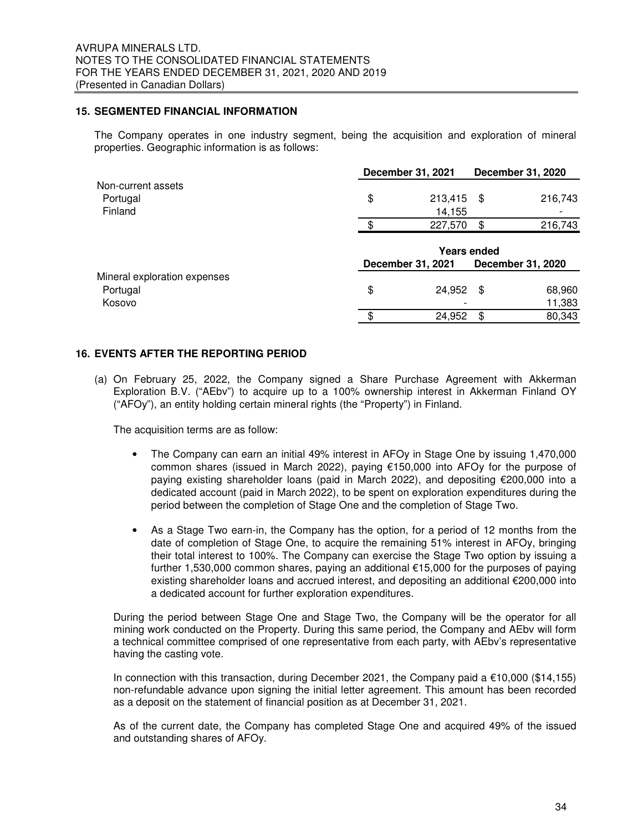#### **15. SEGMENTED FINANCIAL INFORMATION**

The Company operates in one industry segment, being the acquisition and exploration of mineral properties. Geographic information is as follows:

|                              |                    | December 31, 2021 |     |                   |  |
|------------------------------|--------------------|-------------------|-----|-------------------|--|
| Non-current assets           |                    |                   |     |                   |  |
| Portugal                     | \$                 | 213,415           | \$  | 216,743           |  |
| Finland                      |                    | 14,155            |     |                   |  |
|                              | ፍ                  | 227,570           | \$  | 216,743           |  |
|                              | <b>Years ended</b> |                   |     |                   |  |
|                              |                    | December 31, 2021 |     | December 31, 2020 |  |
| Mineral exploration expenses |                    |                   |     |                   |  |
| Portugal                     | \$                 | 24,952            | -SS | 68,960            |  |
| Kosovo                       |                    |                   |     | 11,383            |  |
|                              |                    | 24,952            | S   | 80,343            |  |
|                              |                    |                   |     |                   |  |

#### **16. EVENTS AFTER THE REPORTING PERIOD**

(a) On February 25, 2022, the Company signed a Share Purchase Agreement with Akkerman Exploration B.V. ("AEbv") to acquire up to a 100% ownership interest in Akkerman Finland OY ("AFOy"), an entity holding certain mineral rights (the "Property") in Finland.

The acquisition terms are as follow:

- The Company can earn an initial 49% interest in AFOy in Stage One by issuing 1,470,000 common shares (issued in March 2022), paying €150,000 into AFOy for the purpose of paying existing shareholder loans (paid in March 2022), and depositing €200,000 into a dedicated account (paid in March 2022), to be spent on exploration expenditures during the period between the completion of Stage One and the completion of Stage Two.
- As a Stage Two earn-in, the Company has the option, for a period of 12 months from the date of completion of Stage One, to acquire the remaining 51% interest in AFOy, bringing their total interest to 100%. The Company can exercise the Stage Two option by issuing a further 1,530,000 common shares, paying an additional €15,000 for the purposes of paying existing shareholder loans and accrued interest, and depositing an additional €200,000 into a dedicated account for further exploration expenditures.

During the period between Stage One and Stage Two, the Company will be the operator for all mining work conducted on the Property. During this same period, the Company and AEbv will form a technical committee comprised of one representative from each party, with AEbv's representative having the casting vote.

In connection with this transaction, during December 2021, the Company paid a  $\epsilon$ 10,000 (\$14,155) non-refundable advance upon signing the initial letter agreement. This amount has been recorded as a deposit on the statement of financial position as at December 31, 2021.

As of the current date, the Company has completed Stage One and acquired 49% of the issued and outstanding shares of AFOy.